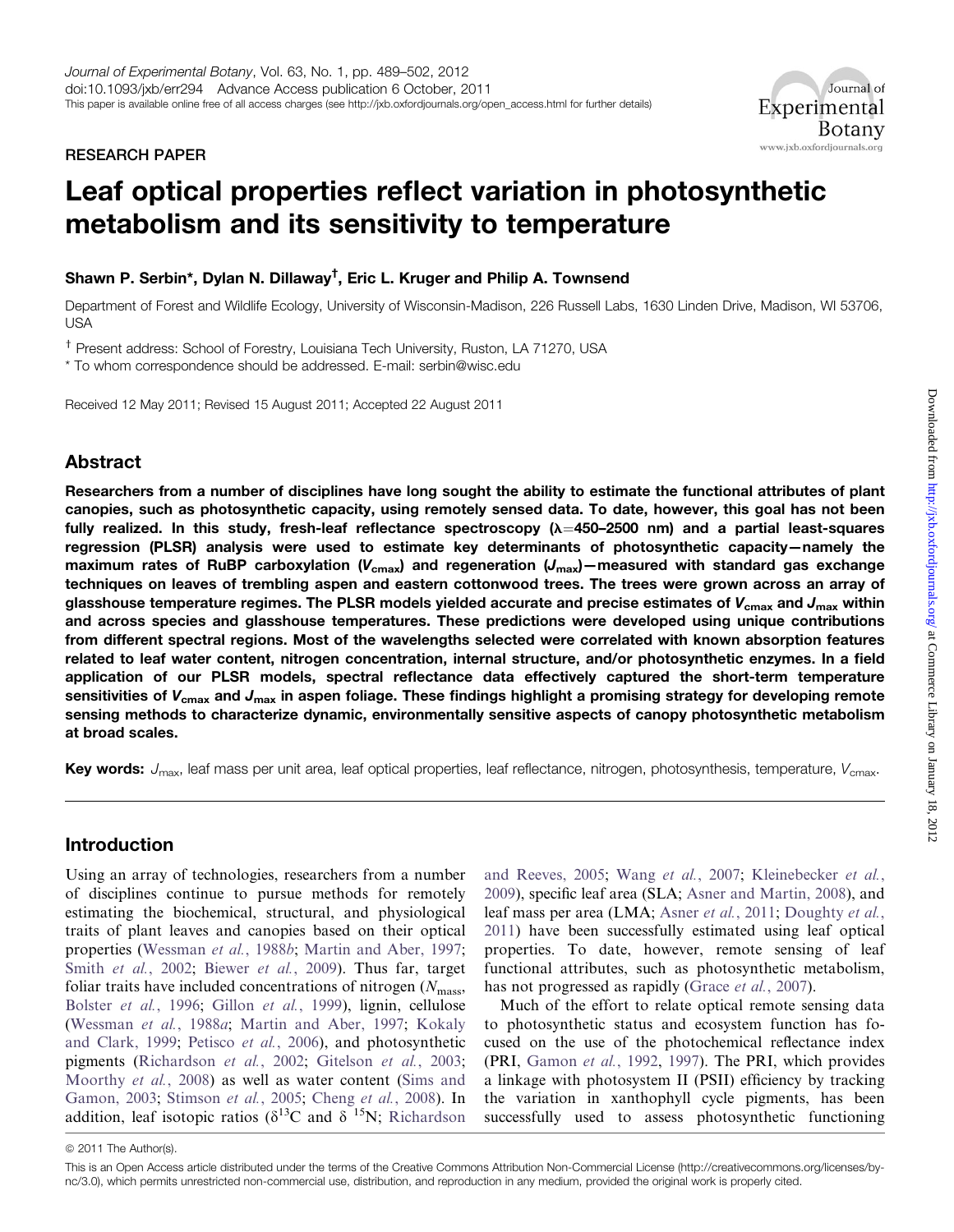RESEARCH PAPER



# Leaf optical properties reflect variation in photosynthetic metabolism and its sensitivity to temperature

# Shawn P. Serbin\*, Dylan N. Dillaway<sup>†</sup>, Eric L. Kruger and Philip A. Townsend

Department of Forest and Wildlife Ecology, University of Wisconsin-Madison, 226 Russell Labs, 1630 Linden Drive, Madison, WI 53706, USA

<sup>†</sup> Present address: School of Forestry, Louisiana Tech University, Ruston, LA 71270, USA

\* To whom correspondence should be addressed. E-mail: serbin@wisc.edu

Received 12 May 2011; Revised 15 August 2011; Accepted 22 August 2011

# Abstract

Researchers from a number of disciplines have long sought the ability to estimate the functional attributes of plant canopies, such as photosynthetic capacity, using remotely sensed data. To date, however, this goal has not been fully realized. In this study, fresh-leaf reflectance spectroscopy  $(\lambda=450-2500)$  nm) and a partial least-squares regression (PLSR) analysis were used to estimate key determinants of photosynthetic capacity—namely the maximum rates of RuBP carboxylation ( $V_{\text{cmax}}$ ) and regeneration ( $J_{\text{max}}$ ) – measured with standard gas exchange techniques on leaves of trembling aspen and eastern cottonwood trees. The trees were grown across an array of glasshouse temperature regimes. The PLSR models yielded accurate and precise estimates of  $V_{\rm cmax}$  and  $J_{\rm max}$  within and across species and glasshouse temperatures. These predictions were developed using unique contributions from different spectral regions. Most of the wavelengths selected were correlated with known absorption features related to leaf water content, nitrogen concentration, internal structure, and/or photosynthetic enzymes. In a field application of our PLSR models, spectral reflectance data effectively captured the short-term temperature sensitivities of  $V_{\text{cmax}}$  and  $J_{\text{max}}$  in aspen foliage. These findings highlight a promising strategy for developing remote sensing methods to characterize dynamic, environmentally sensitive aspects of canopy photosynthetic metabolism at broad scales.

Key words:  $J_{\text{max}}$ , leaf mass per unit area, leaf optical properties, leaf reflectance, nitrogen, photosynthesis, temperature,  $V_{\text{cmax}}$ .

# Introduction

Using an array of technologies, researchers from a number of disciplines continue to pursue methods for remotely estimating the biochemical, structural, and physiological traits of plant leaves and canopies based on their optical properties ([Wessman](#page-13-0) et al., 1988b; [Martin and Aber, 1997](#page-11-0); Smith et al.[, 2002](#page-12-0); [Biewer](#page-9-0) et al., 2009). Thus far, target foliar traits have included concentrations of nitrogen  $(N_{\text{mass}})$ [Bolster](#page-10-0) et al., 1996; Gillon et al.[, 1999\)](#page-10-0), lignin, cellulose [\(Wessman](#page-13-0) et al., 1988a; [Martin and Aber, 1997](#page-11-0); [Kokaly](#page-11-0) [and Clark, 1999;](#page-11-0) [Petisco](#page-12-0) et al., 2006), and photosynthetic pigments ([Richardson](#page-12-0) et al., 2002; [Gitelson](#page-10-0) et al., 2003; [Moorthy](#page-12-0) et al., 2008) as well as water content [\(Sims and](#page-12-0) [Gamon, 2003;](#page-12-0) [Stimson](#page-12-0) et al., 2005; [Cheng](#page-10-0) et al., 2008). In addition, leaf isotopic ratios ( $\delta^{13}$ C and  $\delta^{15}$ N; [Richardson](#page-12-0) [and Reeves, 2005](#page-12-0); Wang et al.[, 2007](#page-12-0); [Kleinebecker](#page-11-0) et al., [2009\)](#page-11-0), specific leaf area (SLA; [Asner and Martin, 2008](#page-9-0)), and leaf mass per area (LMA; Asner et al.[, 2011;](#page-9-0) [Doughty](#page-10-0) et al., [2011\)](#page-10-0) have been successfully estimated using leaf optical properties. To date, however, remote sensing of leaf functional attributes, such as photosynthetic metabolism, has not progressed as rapidly (Grace *et al.*[, 2007](#page-11-0)).

Much of the effort to relate optical remote sensing data to photosynthetic status and ecosystem function has focused on the use of the photochemical reflectance index (PRI, [Gamon](#page-10-0) et al., 1992, [1997\)](#page-10-0). The PRI, which provides a linkage with photosystem II (PSII) efficiency by tracking the variation in xanthophyll cycle pigments, has been successfully used to assess photosynthetic functioning

 $© 2011$  The Author(s).

This is an Open Access article distributed under the terms of the Creative Commons Attribution Non-Commercial License (http://creativecommons.org/licenses/bync/3.0), which permits unrestricted non-commercial use, distribution, and reproduction in any medium, provided the original work is properly cited.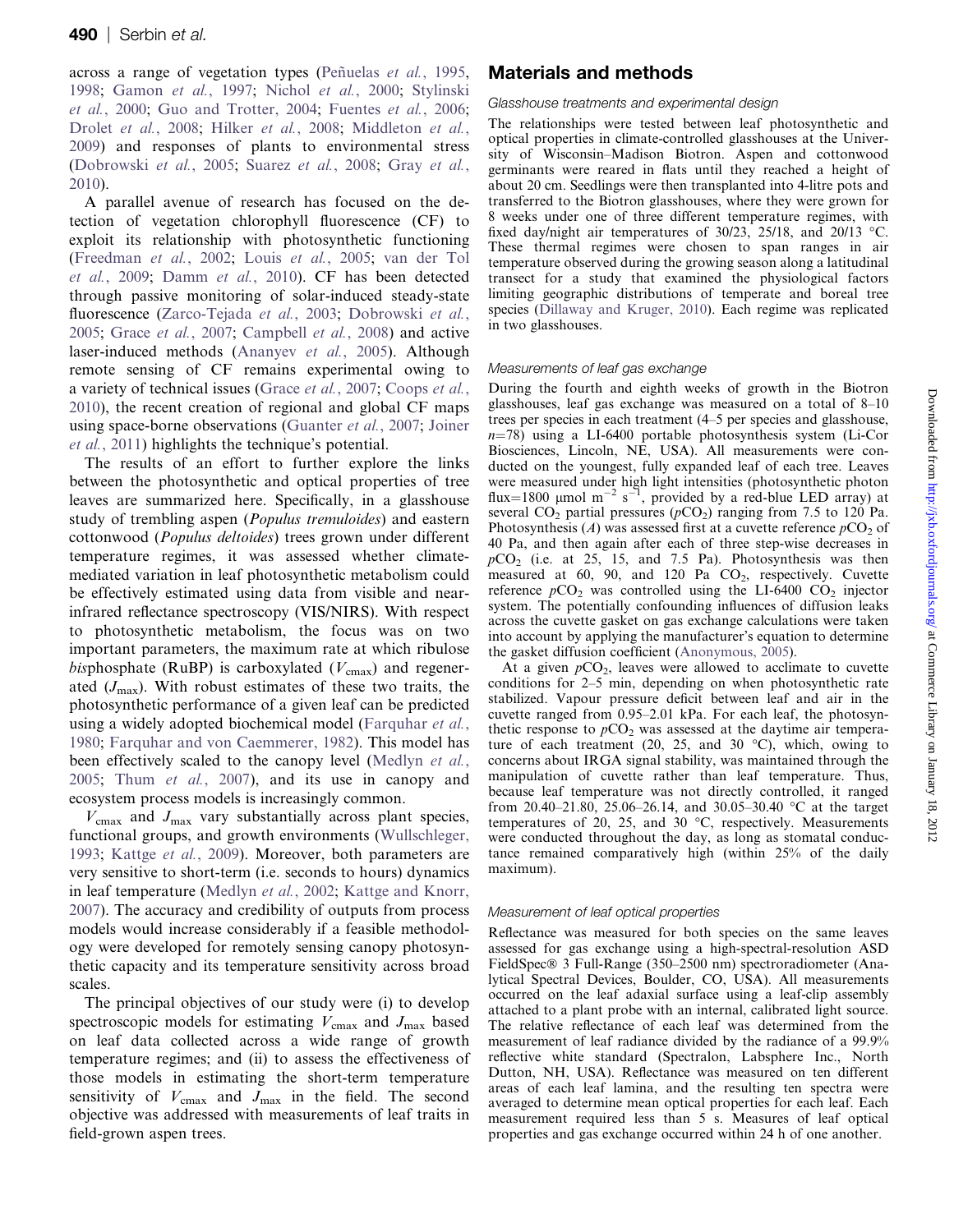across a range of vegetation types (Peñuelas et al., 1995, [1998](#page-12-0); [Gamon](#page-10-0) et al., 1997; [Nichol](#page-12-0) et al., 2000; [Stylinski](#page-12-0) et al.[, 2000](#page-12-0); [Guo and Trotter, 2004;](#page-11-0) [Fuentes](#page-10-0) et al., 2006; [Drolet](#page-10-0) et al., 2008; Hilker et al.[, 2008](#page-11-0); [Middleton](#page-12-0) et al., [2009](#page-12-0)) and responses of plants to environmental stress ([Dobrowski](#page-10-0) et al., 2005; [Suarez](#page-12-0) et al., 2008; Gray [et al.](#page-11-0), [2010](#page-11-0)).

A parallel avenue of research has focused on the detection of vegetation chlorophyll fluorescence (CF) to exploit its relationship with photosynthetic functioning ([Freedman](#page-10-0) et al., 2002; Louis et al.[, 2005](#page-11-0); [van der Tol](#page-12-0) et al.[, 2009;](#page-12-0) [Damm](#page-10-0) et al., 2010). CF has been detected through passive monitoring of solar-induced steady-state fluorescence ([Zarco-Tejada](#page-13-0) et al., 2003; [Dobrowski](#page-10-0) et al., [2005](#page-10-0); Grace et al.[, 2007](#page-11-0); [Campbell](#page-10-0) et al., 2008) and active laser-induced methods [\(Ananyev](#page-9-0) et al., 2005). Although remote sensing of CF remains experimental owing to a variety of technical issues (Grace et al.[, 2007;](#page-11-0) [Coops](#page-10-0) et al., [2010](#page-10-0)), the recent creation of regional and global CF maps using space-borne observations [\(Guanter](#page-11-0) *et al.*, 2007; [Joiner](#page-11-0) et al.[, 2011](#page-11-0)) highlights the technique's potential.

The results of an effort to further explore the links between the photosynthetic and optical properties of tree leaves are summarized here. Specifically, in a glasshouse study of trembling aspen (Populus tremuloides) and eastern cottonwood (Populus deltoides) trees grown under different temperature regimes, it was assessed whether climatemediated variation in leaf photosynthetic metabolism could be effectively estimated using data from visible and nearinfrared reflectance spectroscopy (VIS/NIRS). With respect to photosynthetic metabolism, the focus was on two important parameters, the maximum rate at which ribulose bisphosphate (RuBP) is carboxylated ( $V_{\text{cmax}}$ ) and regenerated  $(J_{\text{max}})$ . With robust estimates of these two traits, the photosynthetic performance of a given leaf can be predicted using a widely adopted biochemical model [\(Farquhar](#page-10-0) et al., [1980](#page-10-0); [Farquhar and von Caemmerer, 1982\)](#page-10-0). This model has been effectively scaled to the canopy level ([Medlyn](#page-11-0) et al., [2005](#page-11-0); Thum et al.[, 2007](#page-12-0)), and its use in canopy and ecosystem process models is increasingly common.

 $V_{\text{cmax}}$  and  $J_{\text{max}}$  vary substantially across plant species, functional groups, and growth environments ([Wullschleger,](#page-13-0) [1993](#page-13-0); [Kattge](#page-11-0) et al., 2009). Moreover, both parameters are very sensitive to short-term (i.e. seconds to hours) dynamics in leaf temperature ([Medlyn](#page-11-0) et al., 2002; [Kattge and Knorr,](#page-11-0) [2007](#page-11-0)). The accuracy and credibility of outputs from process models would increase considerably if a feasible methodology were developed for remotely sensing canopy photosynthetic capacity and its temperature sensitivity across broad scales.

The principal objectives of our study were (i) to develop spectroscopic models for estimating  $V_{\text{cmax}}$  and  $J_{\text{max}}$  based on leaf data collected across a wide range of growth temperature regimes; and (ii) to assess the effectiveness of those models in estimating the short-term temperature sensitivity of  $V_{\text{cmax}}$  and  $J_{\text{max}}$  in the field. The second objective was addressed with measurements of leaf traits in field-grown aspen trees.

# Materials and methods

#### Glasshouse treatments and experimental design

The relationships were tested between leaf photosynthetic and optical properties in climate-controlled glasshouses at the University of Wisconsin–Madison Biotron. Aspen and cottonwood germinants were reared in flats until they reached a height of about 20 cm. Seedlings were then transplanted into 4-litre pots and transferred to the Biotron glasshouses, where they were grown for 8 weeks under one of three different temperature regimes, with fixed day/night air temperatures of 30/23, 25/18, and 20/13 °C. These thermal regimes were chosen to span ranges in air temperature observed during the growing season along a latitudinal transect for a study that examined the physiological factors limiting geographic distributions of temperate and boreal tree species ([Dillaway and Kruger, 2010\)](#page-10-0). Each regime was replicated in two glasshouses.

#### Measurements of leaf gas exchange

During the fourth and eighth weeks of growth in the Biotron glasshouses, leaf gas exchange was measured on a total of 8–10 trees per species in each treatment (4–5 per species and glasshouse,  $n=78$ ) using a LI-6400 portable photosynthesis system (Li-Cor Biosciences, Lincoln, NE, USA). All measurements were conducted on the youngest, fully expanded leaf of each tree. Leaves were measured under high light intensities (photosynthetic photon flux=1800 µmol m<sup>-2</sup> s<sup>-1</sup>, provided by a red-blue LED array) at several CO<sub>2</sub> partial pressures ( $pCO<sub>2</sub>$ ) ranging from 7.5 to 120 Pa. Photosynthesis (A) was assessed first at a cuvette reference  $pCO<sub>2</sub>$  of 40 Pa, and then again after each of three step-wise decreases in  $pCO<sub>2</sub>$  (i.e. at 25, 15, and 7.5 Pa). Photosynthesis was then measured at 60, 90, and 120 Pa  $CO<sub>2</sub>$ , respectively. Cuvette reference  $pCO_2$  was controlled using the LI-6400 CO<sub>2</sub> injector system. The potentially confounding influences of diffusion leaks across the cuvette gasket on gas exchange calculations were taken into account by applying the manufacturer's equation to determine the gasket diffusion coefficient [\(Anonymous, 2005](#page-9-0)).

At a given  $pCO<sub>2</sub>$ , leaves were allowed to acclimate to cuvette conditions for 2–5 min, depending on when photosynthetic rate stabilized. Vapour pressure deficit between leaf and air in the cuvette ranged from 0.95–2.01 kPa. For each leaf, the photosynthetic response to  $pCO<sub>2</sub>$  was assessed at the daytime air temperature of each treatment (20, 25, and 30  $^{\circ}$ C), which, owing to concerns about IRGA signal stability, was maintained through the manipulation of cuvette rather than leaf temperature. Thus, because leaf temperature was not directly controlled, it ranged from 20.40–21.80, 25.06–26.14, and 30.05–30.40 °C at the target temperatures of 20, 25, and 30  $^{\circ}$ C, respectively. Measurements were conducted throughout the day, as long as stomatal conductance remained comparatively high (within 25% of the daily maximum).

#### Measurement of leaf optical properties

Reflectance was measured for both species on the same leaves assessed for gas exchange using a high-spectral-resolution ASD FieldSpec® 3 Full-Range (350–2500 nm) spectroradiometer (Analytical Spectral Devices, Boulder, CO, USA). All measurements occurred on the leaf adaxial surface using a leaf-clip assembly attached to a plant probe with an internal, calibrated light source. The relative reflectance of each leaf was determined from the measurement of leaf radiance divided by the radiance of a 99.9% reflective white standard (Spectralon, Labsphere Inc., North Dutton, NH, USA). Reflectance was measured on ten different areas of each leaf lamina, and the resulting ten spectra were averaged to determine mean optical properties for each leaf. Each measurement required less than 5 s. Measures of leaf optical properties and gas exchange occurred within 24 h of one another.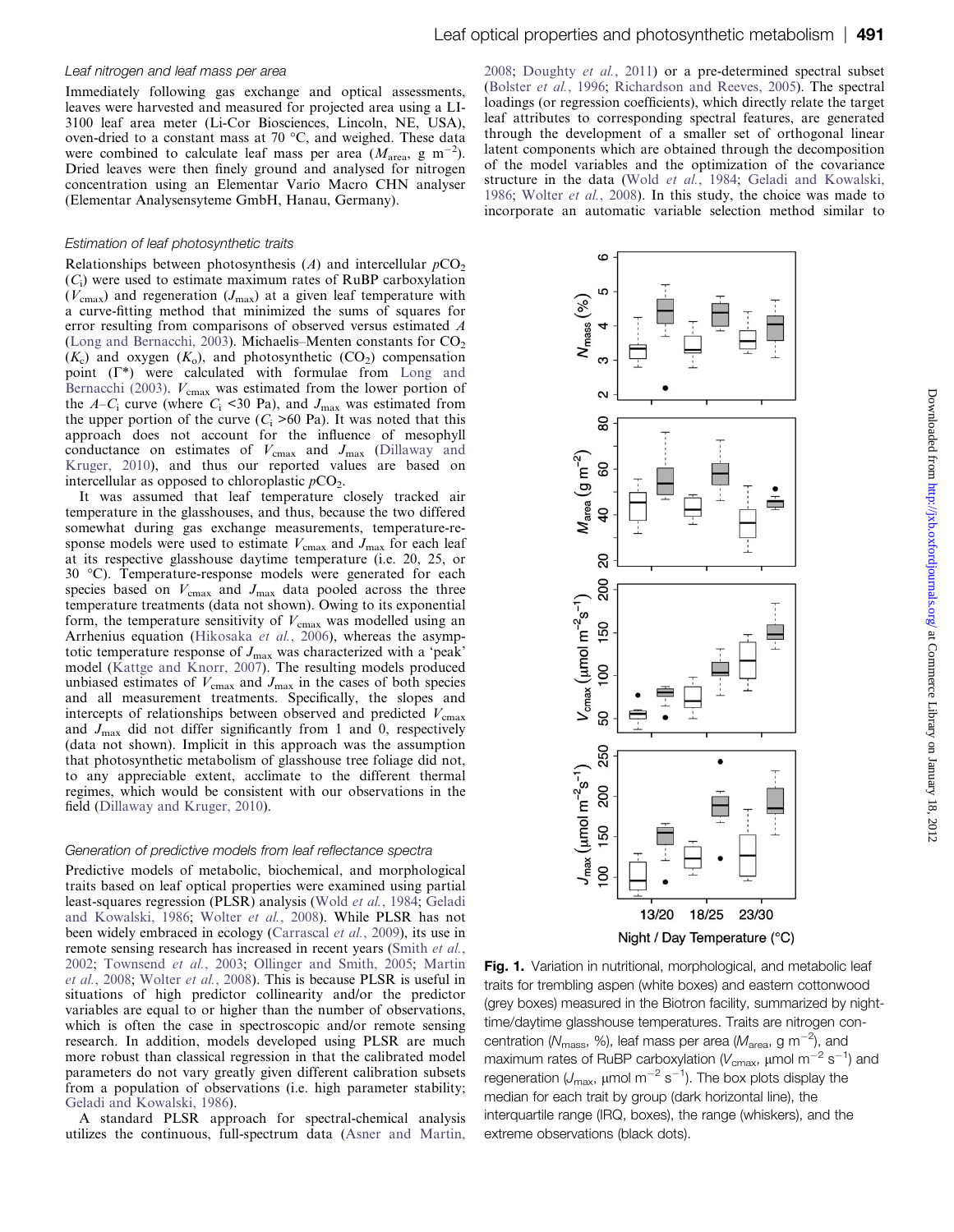#### <span id="page-2-0"></span>Leaf nitrogen and leaf mass per area

Immediately following gas exchange and optical assessments, leaves were harvested and measured for projected area using a LI-3100 leaf area meter (Li-Cor Biosciences, Lincoln, NE, USA), oven-dried to a constant mass at 70 °C, and weighed. These data were combined to calculate leaf mass per area  $(M_{\text{area}}, g \text{ m}^{-2})$ . Dried leaves were then finely ground and analysed for nitrogen concentration using an Elementar Vario Macro CHN analyser (Elementar Analysensyteme GmbH, Hanau, Germany).

#### Estimation of leaf photosynthetic traits

Relationships between photosynthesis (A) and intercellular  $pCO<sub>2</sub>$  $(C<sub>i</sub>)$  were used to estimate maximum rates of RuBP carboxylation  $(V_{\text{cmax}})$  and regeneration  $(J_{\text{max}})$  at a given leaf temperature with a curve-fitting method that minimized the sums of squares for error resulting from comparisons of observed versus estimated A ([Long and Bernacchi, 2003\)](#page-11-0). Michaelis-Menten constants for  $CO<sub>2</sub>$  $(K_c)$  and oxygen  $(K_o)$ , and photosynthetic  $(CO_2)$  compensation point  $(\Gamma^*)$  were calculated with formulae from [Long and](#page-11-0) [Bernacchi \(2003\)](#page-11-0).  $V_{\text{cmax}}$  was estimated from the lower portion of the  $A-C_i$  curve (where  $C_i$  <30 Pa), and  $J_{\text{max}}$  was estimated from the upper portion of the curve  $(C_i > 60$  Pa). It was noted that this approach does not account for the influence of mesophyll conductance on estimates of  $V_{\text{cmax}}$  and  $J_{\text{max}}$  [\(Dillaway and](#page-10-0) [Kruger, 2010](#page-10-0)), and thus our reported values are based on intercellular as opposed to chloroplastic  $pCO<sub>2</sub>$ .

It was assumed that leaf temperature closely tracked air temperature in the glasshouses, and thus, because the two differed somewhat during gas exchange measurements, temperature-response models were used to estimate  $V_{\text{cmax}}$  and  $J_{\text{max}}$  for each leaf at its respective glasshouse daytime temperature (i.e. 20, 25, or 30 C). Temperature-response models were generated for each species based on  $V_{\text{cmax}}$  and  $J_{\text{max}}$  data pooled across the three temperature treatments (data not shown). Owing to its exponential form, the temperature sensitivity of  $V_{\text{cmax}}$  was modelled using an Arrhenius equation [\(Hikosaka](#page-11-0) et al., 2006), whereas the asymptotic temperature response of  $J_{\text{max}}$  was characterized with a 'peak' model [\(Kattge and Knorr, 2007](#page-11-0)). The resulting models produced unbiased estimates of  $V_{\text{cmax}}$  and  $J_{\text{max}}$  in the cases of both species and all measurement treatments. Specifically, the slopes and intercepts of relationships between observed and predicted  $V_{\text{cmax}}$ and  $J_{\text{max}}$  did not differ significantly from 1 and 0, respectively (data not shown). Implicit in this approach was the assumption that photosynthetic metabolism of glasshouse tree foliage did not, to any appreciable extent, acclimate to the different thermal regimes, which would be consistent with our observations in the field ([Dillaway and Kruger, 2010\)](#page-10-0).

#### Generation of predictive models from leaf reflectance spectra

Predictive models of metabolic, biochemical, and morphological traits based on leaf optical properties were examined using partial least-squares regression (PLSR) analysis (Wold et al.[, 1984](#page-13-0); [Geladi](#page-10-0) [and Kowalski, 1986;](#page-10-0) [Wolter](#page-13-0) et al., 2008). While PLSR has not been widely embraced in ecology ([Carrascal](#page-10-0) et al., 2009), its use in remote sensing research has increased in recent years ([Smith](#page-12-0) et al., [2002;](#page-12-0) [Townsend](#page-12-0) et al., 2003; [Ollinger and Smith, 2005;](#page-12-0) [Martin](#page-11-0) et al.[, 2008](#page-11-0); [Wolter](#page-13-0) et al., 2008). This is because PLSR is useful in situations of high predictor collinearity and/or the predictor variables are equal to or higher than the number of observations, which is often the case in spectroscopic and/or remote sensing research. In addition, models developed using PLSR are much more robust than classical regression in that the calibrated model parameters do not vary greatly given different calibration subsets from a population of observations (i.e. high parameter stability; [Geladi and Kowalski, 1986\)](#page-10-0).

A standard PLSR approach for spectral-chemical analysis utilizes the continuous, full-spectrum data ([Asner and Martin,](#page-9-0)

[2008;](#page-9-0) [Doughty](#page-10-0) et al., 2011) or a pre-determined spectral subset ([Bolster](#page-10-0) et al., 1996; [Richardson and Reeves, 2005\)](#page-12-0). The spectral loadings (or regression coefficients), which directly relate the target leaf attributes to corresponding spectral features, are generated through the development of a smaller set of orthogonal linear latent components which are obtained through the decomposition of the model variables and the optimization of the covariance structure in the data (Wold et al.[, 1984](#page-13-0); [Geladi and Kowalski,](#page-10-0) [1986;](#page-10-0) [Wolter](#page-13-0) et al., 2008). In this study, the choice was made to incorporate an automatic variable selection method similar to



Fig. 1. Variation in nutritional, morphological, and metabolic leaf traits for trembling aspen (white boxes) and eastern cottonwood (grey boxes) measured in the Biotron facility, summarized by nighttime/daytime glasshouse temperatures. Traits are nitrogen concentration (N<sub>mass</sub>, %), leaf mass per area (M<sub>area</sub>, g m<sup>-2</sup>), and maximum rates of RuBP carboxylation ( $V_{\mathrm{cmax}}$ , µmol m $^{-2}$  s $^{-1}$ ) and regeneration ( $\mathcal{J}_{\mathsf{max}}$ , µmol m $^{-2}$  s $^{-1}$ ). The box plots display the median for each trait by group (dark horizontal line), the interquartile range (IRQ, boxes), the range (whiskers), and the extreme observations (black dots).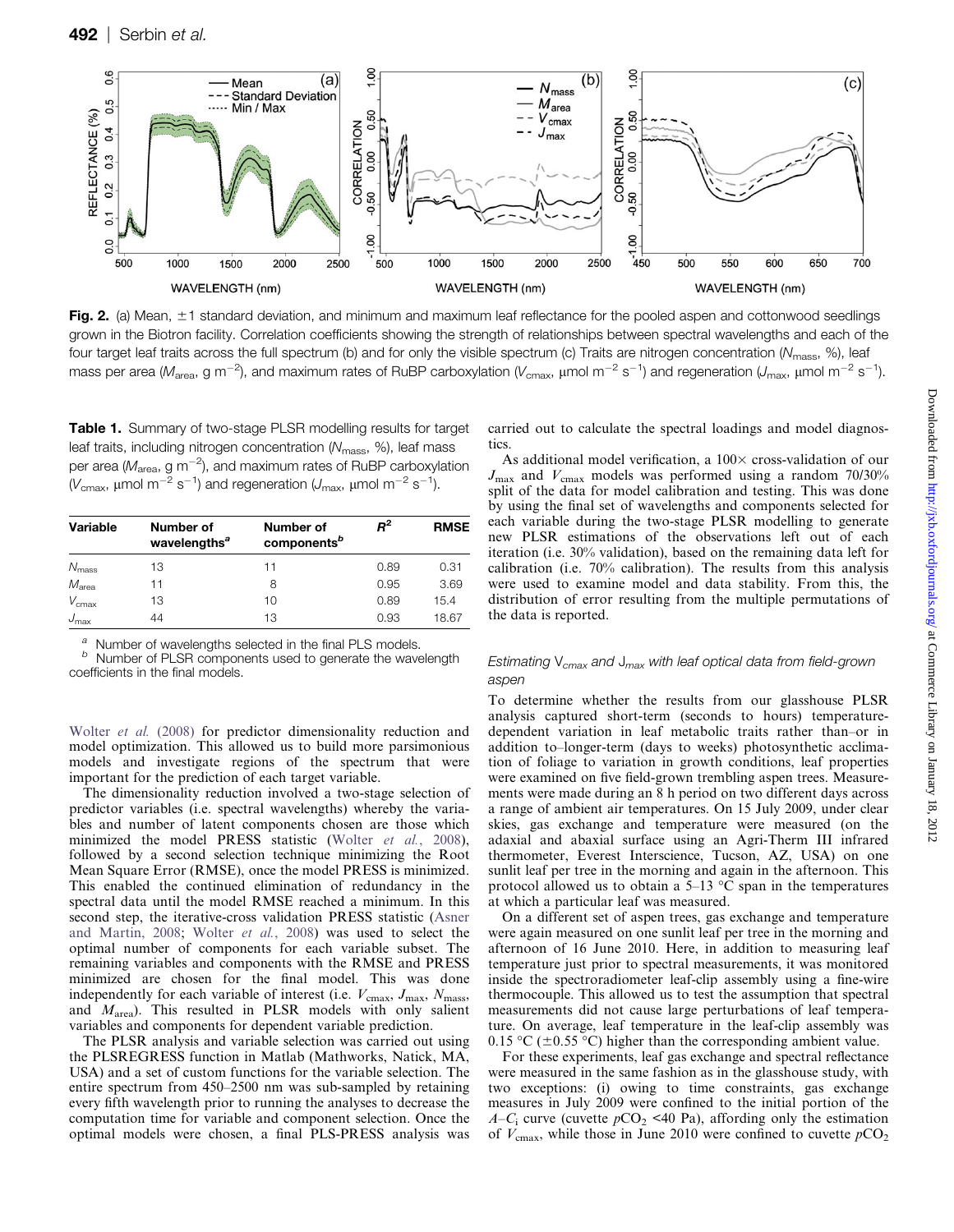<span id="page-3-0"></span>

Fig. 2. (a) Mean,  $\pm 1$  standard deviation, and minimum and maximum leaf reflectance for the pooled aspen and cottonwood seedlings grown in the Biotron facility. Correlation coefficients showing the strength of relationships between spectral wavelengths and each of the four target leaf traits across the full spectrum (b) and for only the visible spectrum (c) Traits are nitrogen concentration (N<sub>mass</sub>, %), leaf mass per area (M<sub>area</sub>, g m<sup>-2</sup>), and maximum rates of RuBP carboxylation (V<sub>cmax</sub>, µmol m<sup>-2</sup> s<sup>-1</sup>) and regeneration (J<sub>max</sub>, µmol m<sup>-2</sup> s<sup>-1</sup>).

Table 1. Summary of two-stage PLSR modelling results for target leaf traits, including nitrogen concentration  $(N_{\text{mass}}, 96)$ , leaf mass per area ( $M_{\rm area}$ , g m $^{-2}$ ), and maximum rates of RuBP carboxylation (V<sub>cmax</sub>, μmol m<sup>-2</sup> s<sup>-1</sup>) and regeneration (J<sub>max</sub>, μmol m<sup>-2</sup> s<sup>-1</sup>).

| Variable          | Number of<br>wavelengths <sup>a</sup> | Number of<br>components <sup>b</sup> | $R^2$ | <b>RMSE</b> |
|-------------------|---------------------------------------|--------------------------------------|-------|-------------|
| $N_{\rm mass}$    | 13                                    | 11                                   | 0.89  | 0.31        |
| $M_{\text{area}}$ | 11                                    | 8                                    | 0.95  | 3.69        |
| $V_{\text{cmax}}$ | 13                                    | 10                                   | 0.89  | 15.4        |
| $J_{\text{max}}$  | 44                                    | 13                                   | 0.93  | 18.67       |

 $\overset{a}{b}$  Number of wavelengths selected in the final PLS models.<br> $\overset{b}{b}$  Number of PLSR components used to generate the wavelength

coefficients in the final models.

[Wolter](#page-13-0) et al. (2008) for predictor dimensionality reduction and model optimization. This allowed us to build more parsimonious models and investigate regions of the spectrum that were important for the prediction of each target variable.

The dimensionality reduction involved a two-stage selection of predictor variables (i.e. spectral wavelengths) whereby the variables and number of latent components chosen are those which minimized the model PRESS statistic (Wolter et al.[, 2008\)](#page-13-0), followed by a second selection technique minimizing the Root Mean Square Error (RMSE), once the model PRESS is minimized. This enabled the continued elimination of redundancy in the spectral data until the model RMSE reached a minimum. In this second step, the iterative-cross validation PRESS statistic ([Asner](#page-9-0) [and Martin, 2008](#page-9-0); [Wolter](#page-13-0) et al., 2008) was used to select the optimal number of components for each variable subset. The remaining variables and components with the RMSE and PRESS minimized are chosen for the final model. This was done independently for each variable of interest (i.e.  $V_{\text{cmax}}$ ,  $J_{\text{max}}$ ,  $N_{\text{mass}}$ , and  $M<sub>area</sub>$ ). This resulted in PLSR models with only salient variables and components for dependent variable prediction.

The PLSR analysis and variable selection was carried out using the PLSREGRESS function in Matlab (Mathworks, Natick, MA, USA) and a set of custom functions for the variable selection. The entire spectrum from 450–2500 nm was sub-sampled by retaining every fifth wavelength prior to running the analyses to decrease the computation time for variable and component selection. Once the optimal models were chosen, a final PLS-PRESS analysis was carried out to calculate the spectral loadings and model diagnostics.

As additional model verification, a  $100\times$  cross-validation of our  $J_{\text{max}}$  and  $V_{\text{cmax}}$  models was performed using a random 70/30% split of the data for model calibration and testing. This was done by using the final set of wavelengths and components selected for each variable during the two-stage PLSR modelling to generate new PLSR estimations of the observations left out of each iteration (i.e. 30% validation), based on the remaining data left for calibration (i.e. 70% calibration). The results from this analysis were used to examine model and data stability. From this, the distribution of error resulting from the multiple permutations of the data is reported.

#### Estimating  $V_{cmax}$  and  $J_{max}$  with leaf optical data from field-grown aspen

To determine whether the results from our glasshouse PLSR analysis captured short-term (seconds to hours) temperaturedependent variation in leaf metabolic traits rather than–or in addition to–longer-term (days to weeks) photosynthetic acclimation of foliage to variation in growth conditions, leaf properties were examined on five field-grown trembling aspen trees. Measurements were made during an 8 h period on two different days across a range of ambient air temperatures. On 15 July 2009, under clear skies, gas exchange and temperature were measured (on the adaxial and abaxial surface using an Agri-Therm III infrared thermometer, Everest Interscience, Tucson, AZ, USA) on one sunlit leaf per tree in the morning and again in the afternoon. This protocol allowed us to obtain a  $5-13$  °C span in the temperatures at which a particular leaf was measured.

On a different set of aspen trees, gas exchange and temperature were again measured on one sunlit leaf per tree in the morning and afternoon of 16 June 2010. Here, in addition to measuring leaf temperature just prior to spectral measurements, it was monitored inside the spectroradiometer leaf-clip assembly using a fine-wire thermocouple. This allowed us to test the assumption that spectral measurements did not cause large perturbations of leaf temperature. On average, leaf temperature in the leaf-clip assembly was 0.15 °C ( $\pm$ 0.55 °C) higher than the corresponding ambient value.

For these experiments, leaf gas exchange and spectral reflectance were measured in the same fashion as in the glasshouse study, with two exceptions: (i) owing to time constraints, gas exchange measures in July 2009 were confined to the initial portion of the  $A-C_i$  curve (cuvette  $pCO_2$  <40 Pa), affording only the estimation of  $V_{\text{cmax}}$ , while those in June 2010 were confined to cuvette  $pCO_2$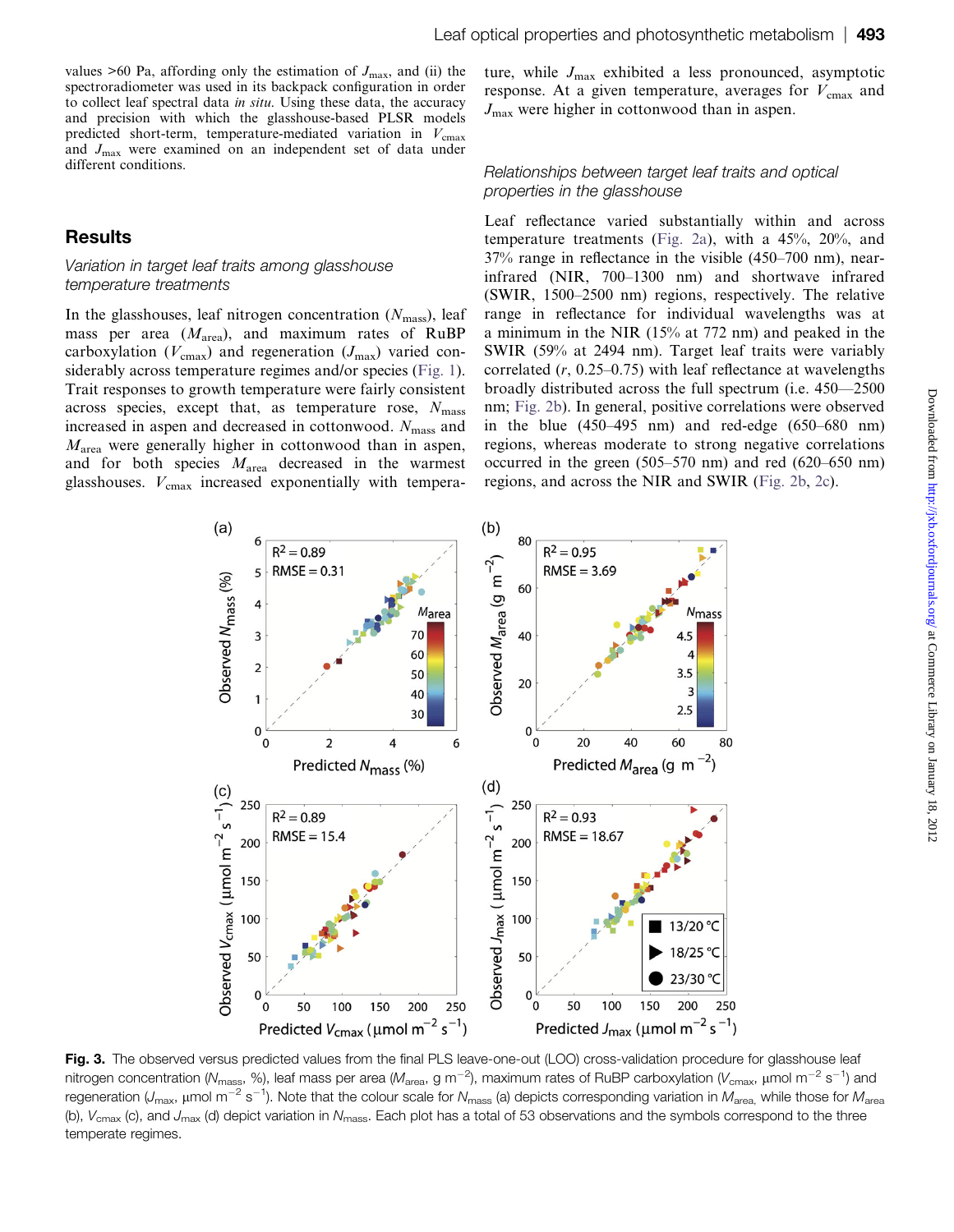<span id="page-4-0"></span>values  $>60$  Pa, affording only the estimation of  $J_{\text{max}}$ , and (ii) the spectroradiometer was used in its backpack configuration in order to collect leaf spectral data in situ. Using these data, the accuracy and precision with which the glasshouse-based PLSR models predicted short-term, temperature-mediated variation in  $V_{\text{cmax}}$ and  $J_{\text{max}}$  were examined on an independent set of data under different conditions.

## **Results**

#### Variation in target leaf traits among glasshouse temperature treatments

In the glasshouses, leaf nitrogen concentration  $(N<sub>mass</sub>)$ , leaf mass per area  $(M<sub>area</sub>)$ , and maximum rates of RuBP carboxylation ( $V_{\text{cmax}}$ ) and regeneration ( $J_{\text{max}}$ ) varied considerably across temperature regimes and/or species [\(Fig. 1\)](#page-2-0). Trait responses to growth temperature were fairly consistent across species, except that, as temperature rose,  $N_{\text{mass}}$ increased in aspen and decreased in cottonwood.  $N_{\text{mass}}$  and  $M<sub>area</sub>$  were generally higher in cottonwood than in aspen, and for both species  $M_{\text{area}}$  decreased in the warmest glasshouses.  $V_{\text{cmax}}$  increased exponentially with tempera-

ture, while  $J_{\text{max}}$  exhibited a less pronounced, asymptotic response. At a given temperature, averages for  $V_{\text{cmax}}$  and  $J_{\text{max}}$  were higher in cottonwood than in aspen.

#### Relationships between target leaf traits and optical properties in the glasshouse

Leaf reflectance varied substantially within and across temperature treatments ([Fig. 2a\)](#page-3-0), with a 45%, 20%, and 37% range in reflectance in the visible (450–700 nm), nearinfrared (NIR, 700–1300 nm) and shortwave infrared (SWIR, 1500–2500 nm) regions, respectively. The relative range in reflectance for individual wavelengths was at a minimum in the NIR (15% at 772 nm) and peaked in the SWIR (59% at 2494 nm). Target leaf traits were variably correlated  $(r, 0.25-0.75)$  with leaf reflectance at wavelengths broadly distributed across the full spectrum (i.e. 450—2500 nm; [Fig. 2b\)](#page-3-0). In general, positive correlations were observed in the blue (450–495 nm) and red-edge (650–680 nm) regions, whereas moderate to strong negative correlations occurred in the green (505–570 nm) and red (620–650 nm) regions, and across the NIR and SWIR ([Fig. 2b](#page-3-0), [2c](#page-3-0)).



Fig. 3. The observed versus predicted values from the final PLS leave-one-out (LOO) cross-validation procedure for glasshouse leaf nitrogen concentration (N<sub>mass</sub>, %), leaf mass per area (M<sub>area</sub>, g m<sup>-2</sup>), maximum rates of RuBP carboxylation (V<sub>cmax</sub>, µmol m<sup>-2</sup> s<sup>-1</sup>) and regeneration (J<sub>max</sub>, µmol m<sup>-2</sup> s<sup>-1</sup>). Note that the colour scale for N<sub>mass</sub> (a) depicts corresponding variation in M<sub>area,</sub> while those for M<sub>area</sub> (b),  $V_{\text{cmax}}$  (c), and  $J_{\text{max}}$  (d) depict variation in  $N_{\text{mass}}$ . Each plot has a total of 53 observations and the symbols correspond to the three temperate regimes.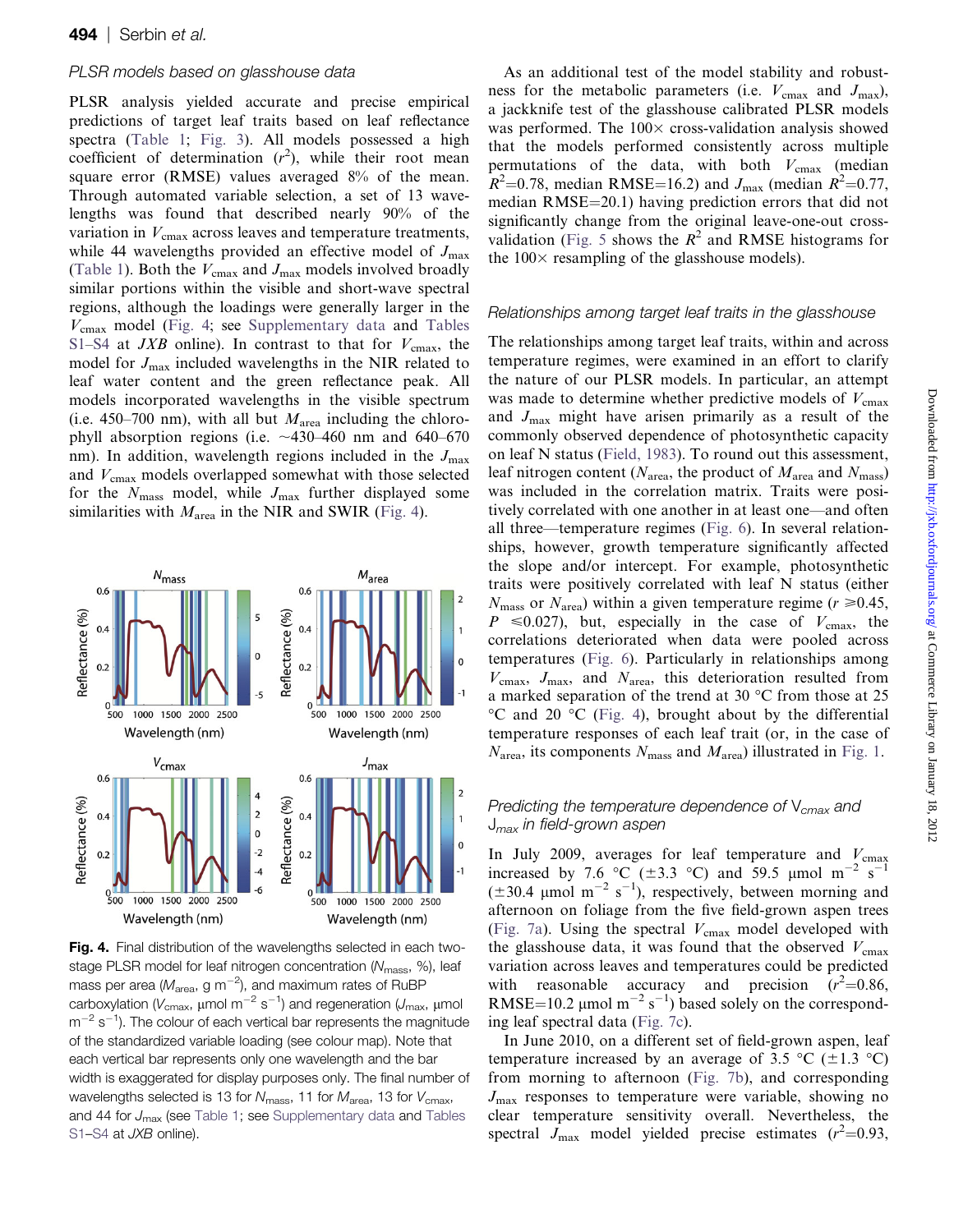#### <span id="page-5-0"></span>PLSR models based on glasshouse data

PLSR analysis yielded accurate and precise empirical predictions of target leaf traits based on leaf reflectance spectra [\(Table 1;](#page-3-0) [Fig. 3\)](#page-4-0). All models possessed a high coefficient of determination  $(r^2)$ , while their root mean square error (RMSE) values averaged 8% of the mean. Through automated variable selection, a set of 13 wavelengths was found that described nearly 90% of the variation in  $V_{\text{cmax}}$  across leaves and temperature treatments, while 44 wavelengths provided an effective model of  $J_{\text{max}}$ ([Table 1\)](#page-3-0). Both the  $V_{\text{cmax}}$  and  $J_{\text{max}}$  models involved broadly similar portions within the visible and short-wave spectral regions, although the loadings were generally larger in the  $V_{\text{cmax}}$  model (Fig. 4; see [Supplementary data](http://jxb.oxfordjournals.org/lookup/suppl/doi:10.1093/jxb/err294/-/DC1) and [Tables](http://jxb.oxfordjournals.org/lookup/suppl/doi:10.1093/jxb/err294/-/DC1) [S1–S4](http://jxb.oxfordjournals.org/lookup/suppl/doi:10.1093/jxb/err294/-/DC1) at *JXB* online). In contrast to that for  $V_{\text{cmax}}$ , the model for  $J_{\text{max}}$  included wavelengths in the NIR related to leaf water content and the green reflectance peak. All models incorporated wavelengths in the visible spectrum (i.e. 450–700 nm), with all but  $M<sub>area</sub>$  including the chlorophyll absorption regions (i.e.  $\sim$ 430–460 nm and 640–670 nm). In addition, wavelength regions included in the  $J_{\text{max}}$ and  $V_{\text{cmax}}$  models overlapped somewhat with those selected for the  $N_{\text{mass}}$  model, while  $J_{\text{max}}$  further displayed some similarities with  $M_{\text{area}}$  in the NIR and SWIR (Fig. 4).



Fig. 4. Final distribution of the wavelengths selected in each twostage PLSR model for leaf nitrogen concentration (N<sub>mass</sub>, %), leaf mass per area ( $M_{\rm area}$ , g m $^{-2}$ ), and maximum rates of RuBP carboxylation ( $V_{\rm cmax}$ , µmol m<sup>-2</sup> s<sup>-1</sup>) and regeneration (J<sub>max</sub>, µmol  $\rm m^{-2} \, s^{-1}$ ). The colour of each vertical bar represents the magnitude of the standardized variable loading (see colour map). Note that each vertical bar represents only one wavelength and the bar width is exaggerated for display purposes only. The final number of wavelengths selected is 13 for  $N_{\text{mass}}$ , 11 for  $M_{\text{area}}$ , 13 for  $V_{\text{cmax}}$ , and 44 for  $J_{\text{max}}$  (see [Table 1;](#page-3-0) see [Supplementary data](http://jxb.oxfordjournals.org/lookup/suppl/doi:10.1093/jxb/err294/-/DC1) and [Tables](http://jxb.oxfordjournals.org/lookup/suppl/doi:10.1093/jxb/err294/-/DC1) [S1–S4](http://jxb.oxfordjournals.org/lookup/suppl/doi:10.1093/jxb/err294/-/DC1) at JXB online).

As an additional test of the model stability and robustness for the metabolic parameters (i.e.  $V_{\text{cmax}}$  and  $J_{\text{max}}$ ), a jackknife test of the glasshouse calibrated PLSR models was performed. The  $100\times$  cross-validation analysis showed that the models performed consistently across multiple permutations of the data, with both  $V_{\text{cmax}}$  (median  $\hat{R}^2$ =0.78, median RMSE=16.2) and  $J_{\text{max}}$  (median  $\hat{R}^2$ =0.77, median  $RMSE = 20.1$ ) having prediction errors that did not significantly change from the original leave-one-out cross-validation [\(Fig. 5](#page-6-0) shows the  $R^2$  and RMSE histograms for the  $100\times$  resampling of the glasshouse models).

#### Relationships among target leaf traits in the glasshouse

The relationships among target leaf traits, within and across temperature regimes, were examined in an effort to clarify the nature of our PLSR models. In particular, an attempt was made to determine whether predictive models of  $V_{\text{cmax}}$ and  $J_{\text{max}}$  might have arisen primarily as a result of the commonly observed dependence of photosynthetic capacity on leaf N status ([Field, 1983](#page-10-0)). To round out this assessment, leaf nitrogen content ( $N_{\text{area}}$ , the product of  $M_{\text{area}}$  and  $N_{\text{mass}}$ ) was included in the correlation matrix. Traits were positively correlated with one another in at least one—and often all three—temperature regimes [\(Fig. 6\)](#page-7-0). In several relationships, however, growth temperature significantly affected the slope and/or intercept. For example, photosynthetic traits were positively correlated with leaf N status (either  $N_{\text{mass}}$  or  $N_{\text{area}}$ ) within a given temperature regime ( $r \ge 0.45$ ,  $P \le 0.027$ , but, especially in the case of  $V_{\text{cmax}}$ , the correlations deteriorated when data were pooled across temperatures ([Fig. 6\)](#page-7-0). Particularly in relationships among  $V_{\text{cmax}}$ ,  $J_{\text{max}}$ , and  $N_{\text{area}}$ , this deterioration resulted from a marked separation of the trend at 30  $^{\circ}$ C from those at 25  $\rm{^{\circ}C}$  and 20  $\rm{^{\circ}C}$  (Fig. 4), brought about by the differential temperature responses of each leaf trait (or, in the case of  $N_{\text{area}}$ , its components  $N_{\text{mass}}$  and  $M_{\text{area}}$ ) illustrated in [Fig. 1](#page-2-0).

#### Predicting the temperature dependence of  $V_{cmax}$  and  $J_{max}$  in field-grown aspen

In July 2009, averages for leaf temperature and  $V_{\text{cmax}}$ increased by 7.6 °C ( $\pm$ 3.3 °C) and 59.5 µmol m<sup>-2</sup> s<sup>-1</sup>  $(\pm 30.4 \text{ \mu mol m}^{-2} \text{ s}^{-1})$ , respectively, between morning and afternoon on foliage from the five field-grown aspen trees ([Fig. 7a](#page-8-0)). Using the spectral  $V_{\text{cmax}}$  model developed with the glasshouse data, it was found that the observed  $V_{\text{cmax}}$ variation across leaves and temperatures could be predicted with reasonable accuracy and precision  $(r^2=0.86,$ RMSE=10.2  $\mu$ mol m<sup>-2</sup> s<sup>-1</sup>) based solely on the corresponding leaf spectral data ([Fig. 7c](#page-8-0)).

In June 2010, on a different set of field-grown aspen, leaf temperature increased by an average of 3.5 °C ( $\pm$ 1.3 °C) from morning to afternoon ([Fig. 7b](#page-8-0)), and corresponding  $J_{\text{max}}$  responses to temperature were variable, showing no clear temperature sensitivity overall. Nevertheless, the spectral  $J_{\text{max}}$  model yielded precise estimates ( $r^2$ =0.93,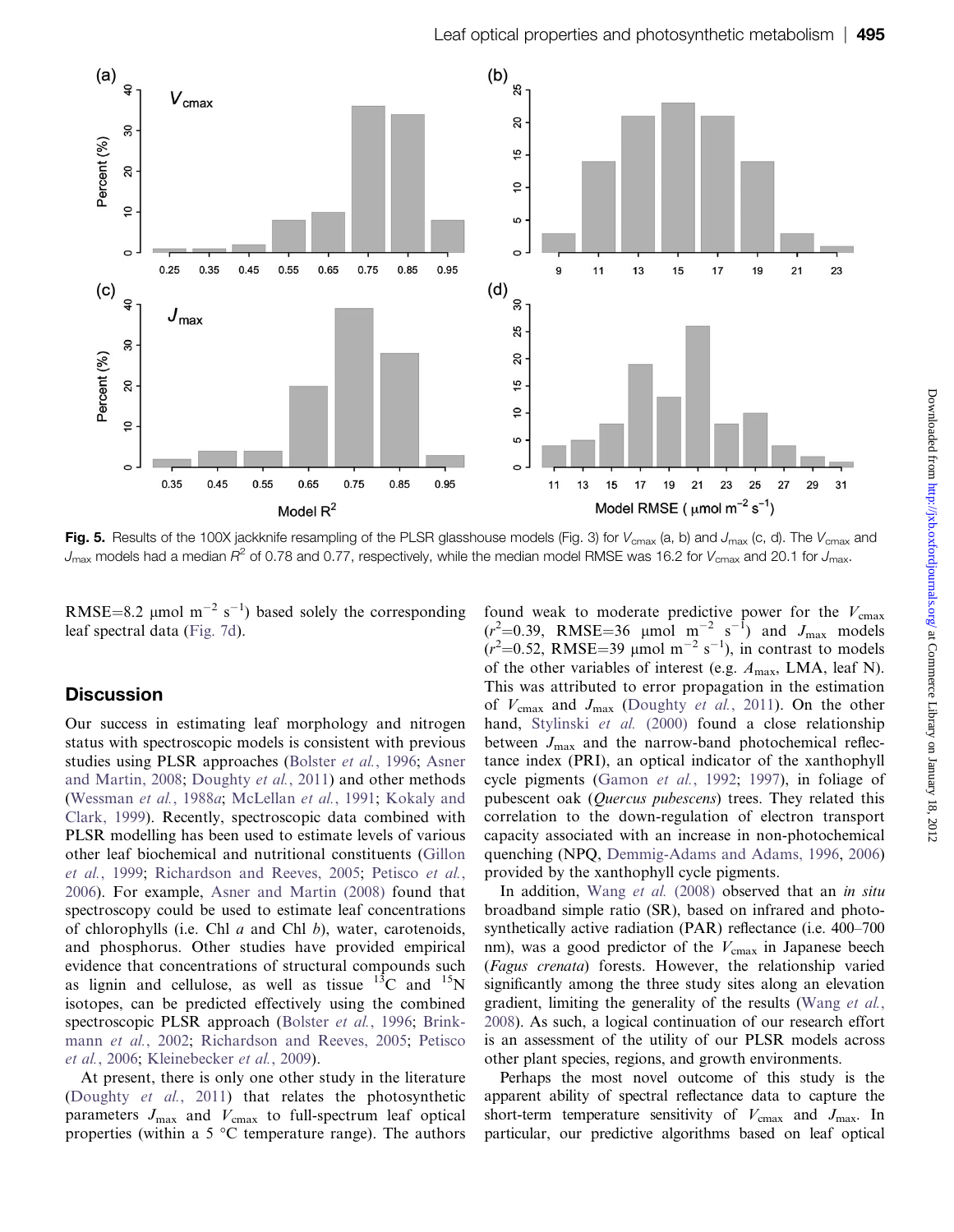<span id="page-6-0"></span>

Fig. 5. Results of the 100X jackknife resampling of the PLSR glasshouse models (Fig. 3) for  $V_{\rm cmax}$  (a, b) and  $J_{\rm max}$  (c, d). The  $V_{\rm cmax}$  and  $J_{\text{max}}$  models had a median  $R^2$  of 0.78 and 0.77, respectively, while the median model RMSE was 16.2 for  $V_{\text{cmax}}$  and 20.1 for  $J_{\text{max}}$ .

RMSE=8.2 µmol  $m^{-2} s^{-1}$ ) based solely the corresponding leaf spectral data [\(Fig. 7d\)](#page-8-0).

# **Discussion**

Our success in estimating leaf morphology and nitrogen status with spectroscopic models is consistent with previous studies using PLSR approaches ([Bolster](#page-10-0) et al., 1996; [Asner](#page-9-0) [and Martin, 2008](#page-9-0); [Doughty](#page-10-0) et al., 2011) and other methods [\(Wessman](#page-13-0) et al., 1988a; [McLellan](#page-11-0) et al., 1991; [Kokaly and](#page-11-0) [Clark, 1999](#page-11-0)). Recently, spectroscopic data combined with PLSR modelling has been used to estimate levels of various other leaf biochemical and nutritional constituents ([Gillon](#page-10-0) et al.[, 1999;](#page-10-0) [Richardson and Reeves, 2005](#page-12-0); [Petisco](#page-12-0) et al., [2006\)](#page-12-0). For example, [Asner and Martin \(2008\)](#page-9-0) found that spectroscopy could be used to estimate leaf concentrations of chlorophylls (i.e. Chl  $a$  and Chl  $b$ ), water, carotenoids, and phosphorus. Other studies have provided empirical evidence that concentrations of structural compounds such as lignin and cellulose, as well as tissue  $^{13}$ C and  $^{15}$ N isotopes, can be predicted effectively using the combined spectroscopic PLSR approach ([Bolster](#page-10-0) et al., 1996; [Brink](#page-10-0)mann et al.[, 2002](#page-10-0); [Richardson and Reeves, 2005](#page-12-0); [Petisco](#page-12-0) et al.[, 2006;](#page-12-0) [Kleinebecker](#page-11-0) et al., 2009).

At present, there is only one other study in the literature [\(Doughty](#page-10-0) et al., 2011) that relates the photosynthetic parameters  $J_{\text{max}}$  and  $V_{\text{cmax}}$  to full-spectrum leaf optical properties (within a 5  $\degree$ C temperature range). The authors

found weak to moderate predictive power for the  $V_{\text{cmax}}$  $(r<sup>2</sup>=0.39$ , RMSE=36 µmol m<sup>-2</sup> s<sup>-1</sup>) and J<sub>max</sub> models  $(r<sup>2</sup>=0.52, RMSE=39 \mu mol m<sup>-2</sup> s<sup>-1</sup>),$  in contrast to models of the other variables of interest (e.g.  $A_{\text{max}}$ , LMA, leaf N). This was attributed to error propagation in the estimation of  $V_{\text{cmax}}$  and  $J_{\text{max}}$  ([Doughty](#page-10-0) *et al.*, 2011). On the other hand, [Stylinski](#page-12-0) et al. (2000) found a close relationship between  $J_{\text{max}}$  and the narrow-band photochemical reflectance index (PRI), an optical indicator of the xanthophyll cycle pigments ([Gamon](#page-10-0) et al., 1992; [1997\)](#page-10-0), in foliage of pubescent oak (Quercus pubescens) trees. They related this correlation to the down-regulation of electron transport capacity associated with an increase in non-photochemical quenching (NPQ, [Demmig-Adams and Adams, 1996,](#page-10-0) [2006\)](#page-10-0) provided by the xanthophyll cycle pigments.

In addition, Wang et al. [\(2008\)](#page-12-0) observed that an in situ broadband simple ratio (SR), based on infrared and photosynthetically active radiation (PAR) reflectance (i.e. 400–700 nm), was a good predictor of the  $V_{\text{cmax}}$  in Japanese beech (Fagus crenata) forests. However, the relationship varied significantly among the three study sites along an elevation gradient, limiting the generality of the results [\(Wang](#page-12-0) et al., [2008](#page-12-0)). As such, a logical continuation of our research effort is an assessment of the utility of our PLSR models across other plant species, regions, and growth environments.

Perhaps the most novel outcome of this study is the apparent ability of spectral reflectance data to capture the short-term temperature sensitivity of  $V_{\text{cmax}}$  and  $J_{\text{max}}$ . In particular, our predictive algorithms based on leaf optical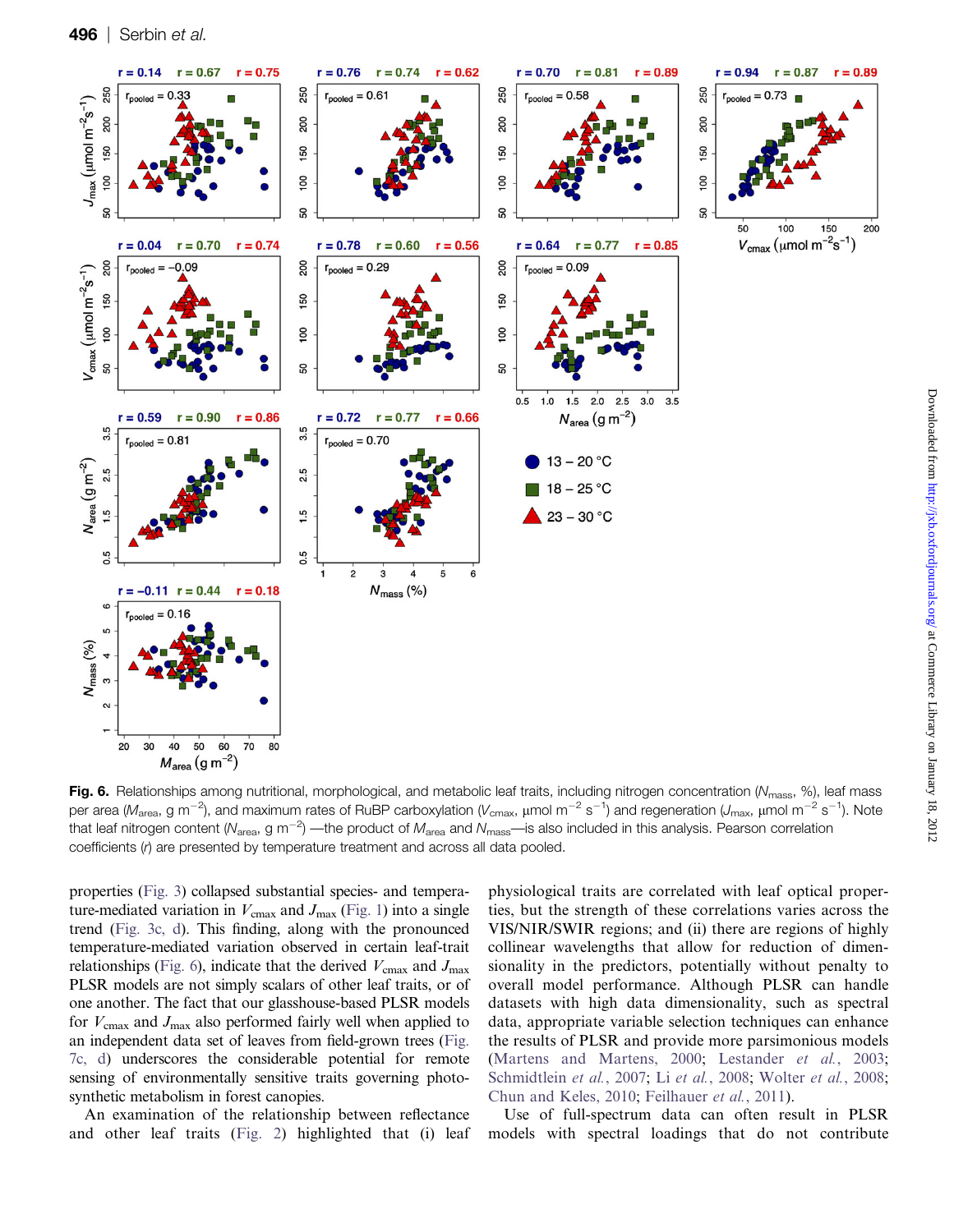<span id="page-7-0"></span>

Fig. 6. Relationships among nutritional, morphological, and metabolic leaf traits, including nitrogen concentration ( $N_{\rm mass}$ , %), leaf mass per area (M<sub>area</sub>, g m<sup>-2</sup>), and maximum rates of RuBP carboxylation (V<sub>cmax</sub>, µmol m<sup>-2</sup> s<sup>-1</sup>) and regeneration (J<sub>max</sub>, µmol m<sup>-2</sup> s<sup>-1</sup>). Note that leaf nitrogen content (N<sub>area</sub>, g m<sup>-2</sup>) —the product of M<sub>area</sub> and N<sub>mass</sub>—is also included in this analysis. Pearson correlation coefficients (r) are presented by temperature treatment and across all data pooled.

properties ([Fig. 3](#page-4-0)) collapsed substantial species- and temperature-mediated variation in  $V_{\text{cmax}}$  and  $J_{\text{max}}$  [\(Fig. 1\)](#page-2-0) into a single trend ([Fig. 3c, d](#page-4-0)). This finding, along with the pronounced temperature-mediated variation observed in certain leaf-trait relationships (Fig. 6), indicate that the derived  $V_{\text{cmax}}$  and  $J_{\text{max}}$ PLSR models are not simply scalars of other leaf traits, or of one another. The fact that our glasshouse-based PLSR models for  $V_{\text{cmax}}$  and  $J_{\text{max}}$  also performed fairly well when applied to an independent data set of leaves from field-grown trees [\(Fig.](#page-8-0) [7c, d](#page-8-0)) underscores the considerable potential for remote sensing of environmentally sensitive traits governing photosynthetic metabolism in forest canopies.

An examination of the relationship between reflectance and other leaf traits [\(Fig. 2\)](#page-3-0) highlighted that (i) leaf physiological traits are correlated with leaf optical properties, but the strength of these correlations varies across the VIS/NIR/SWIR regions; and (ii) there are regions of highly collinear wavelengths that allow for reduction of dimensionality in the predictors, potentially without penalty to overall model performance. Although PLSR can handle datasets with high data dimensionality, such as spectral data, appropriate variable selection techniques can enhance the results of PLSR and provide more parsimonious models ([Martens and Martens, 2000](#page-11-0); [Lestander](#page-11-0) et al., 2003; [Schmidtlein](#page-12-0) et al., 2007; Li et al.[, 2008](#page-11-0); [Wolter](#page-13-0) et al., 2008; [Chun and Keles, 2010](#page-10-0); [Feilhauer](#page-10-0) et al., 2011).

Use of full-spectrum data can often result in PLSR models with spectral loadings that do not contribute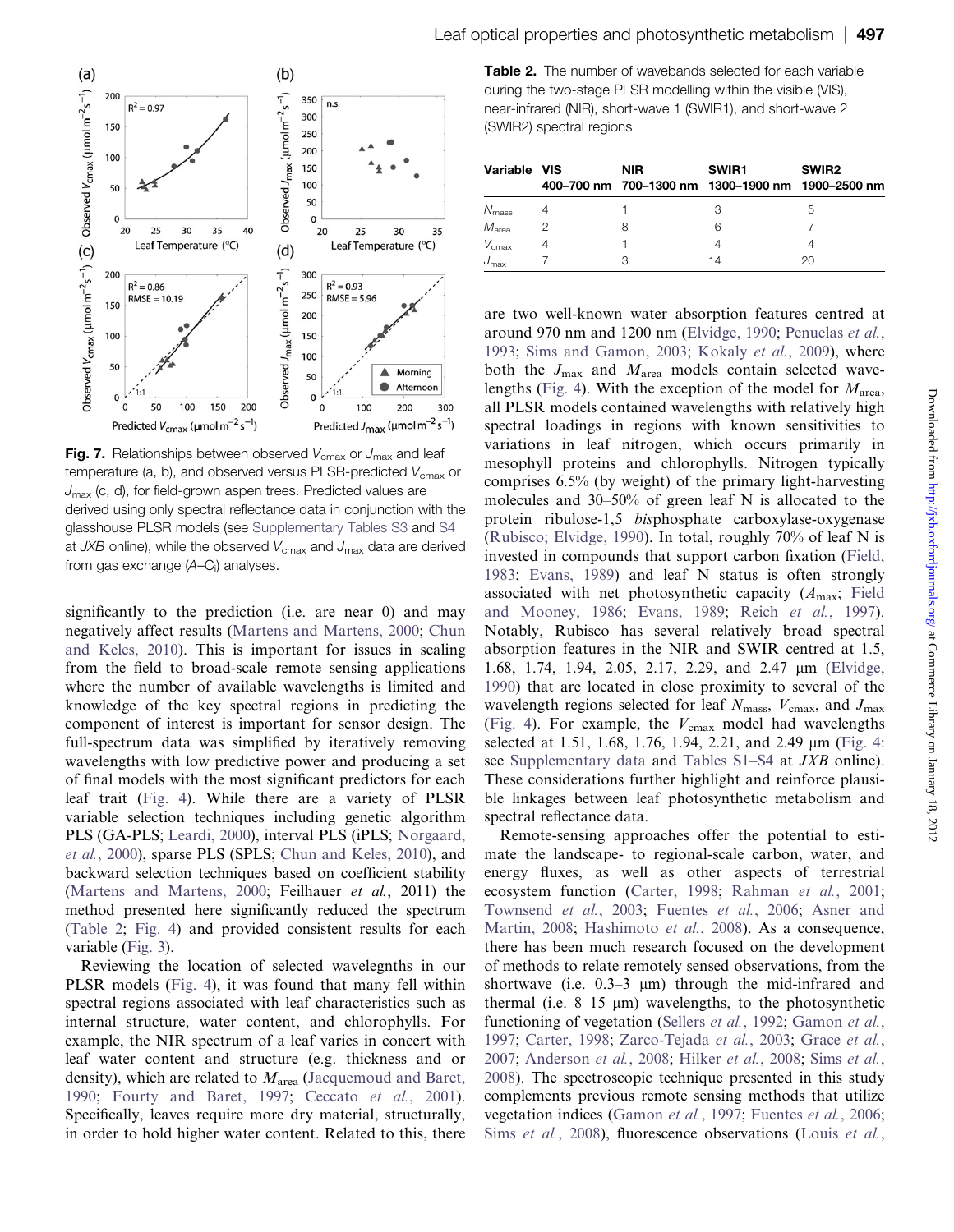<span id="page-8-0"></span>

Fig. 7. Relationships between observed  $V_{\text{cmax}}$  or  $J_{\text{max}}$  and leaf temperature (a, b), and observed versus PLSR-predicted  $V_{\text{cmax}}$  or  $J_{\text{max}}$  (c, d), for field-grown aspen trees. Predicted values are derived using only spectral reflectance data in conjunction with the glasshouse PLSR models (see [Supplementary Tables S3](http://jxb.oxfordjournals.org/lookup/suppl/doi:10.1093/jxb/err294/-/DC1) and [S4](http://jxb.oxfordjournals.org/lookup/suppl/doi:10.1093/jxb/err294/-/DC1) at  $JXB$  online), while the observed  $V_{\text{cmax}}$  and  $J_{\text{max}}$  data are derived from gas exchange (A–C<sub>i</sub>) analyses.

significantly to the prediction (i.e. are near 0) and may negatively affect results [\(Martens and Martens, 2000](#page-11-0); [Chun](#page-10-0) [and Keles, 2010](#page-10-0)). This is important for issues in scaling from the field to broad-scale remote sensing applications where the number of available wavelengths is limited and knowledge of the key spectral regions in predicting the component of interest is important for sensor design. The full-spectrum data was simplified by iteratively removing wavelengths with low predictive power and producing a set of final models with the most significant predictors for each leaf trait [\(Fig. 4\)](#page-5-0). While there are a variety of PLSR variable selection techniques including genetic algorithm PLS (GA-PLS; [Leardi, 2000\)](#page-11-0), interval PLS (iPLS; [Norgaard,](#page-12-0) et al.[, 2000](#page-12-0)), sparse PLS (SPLS; [Chun and Keles, 2010\)](#page-10-0), and backward selection techniques based on coefficient stability [\(Martens and Martens, 2000;](#page-11-0) Feilhauer et al., 2011) the method presented here significantly reduced the spectrum (Table 2; [Fig. 4](#page-5-0)) and provided consistent results for each variable [\(Fig. 3\)](#page-4-0).

Reviewing the location of selected wavelegnths in our PLSR models [\(Fig. 4\)](#page-5-0), it was found that many fell within spectral regions associated with leaf characteristics such as internal structure, water content, and chlorophylls. For example, the NIR spectrum of a leaf varies in concert with leaf water content and structure (e.g. thickness and or density), which are related to  $M_{\text{area}}$  ([Jacquemoud and Baret,](#page-11-0) [1990;](#page-11-0) [Fourty and Baret, 1997;](#page-10-0) [Ceccato](#page-10-0) et al., 2001). Specifically, leaves require more dry material, structurally, in order to hold higher water content. Related to this, there

Table 2. The number of wavebands selected for each variable during the two-stage PLSR modelling within the visible (VIS), near-infrared (NIR), short-wave 1 (SWIR1), and short-wave 2 (SWIR2) spectral regions

| Variable VIS      | <b>NIR</b> | SWIR1<br>400-700 nm 700-1300 nm 1300-1900 nm 1900-2500 nm | SWIR <sub>2</sub> |
|-------------------|------------|-----------------------------------------------------------|-------------------|
| $N_{\rm mass}$    |            | З                                                         | .h                |
| M <sub>area</sub> | 8          | 6                                                         |                   |
| $V_{\rm cmax}$    |            |                                                           |                   |
| $J_{\rm max}$     |            | 14                                                        | 20                |

are two well-known water absorption features centred at around 970 nm and 1200 nm ([Elvidge, 1990](#page-10-0); [Penuelas](#page-12-0) et al., [1993;](#page-12-0) [Sims and Gamon, 2003](#page-12-0); [Kokaly](#page-11-0) et al., 2009), where both the  $J_{\text{max}}$  and  $M_{\text{area}}$  models contain selected wave-lengths ([Fig. 4](#page-5-0)). With the exception of the model for  $M<sub>area</sub>$ , all PLSR models contained wavelengths with relatively high spectral loadings in regions with known sensitivities to variations in leaf nitrogen, which occurs primarily in mesophyll proteins and chlorophylls. Nitrogen typically comprises 6.5% (by weight) of the primary light-harvesting molecules and 30–50% of green leaf N is allocated to the protein ribulose-1,5 bisphosphate carboxylase-oxygenase [\(Rubisco; Elvidge, 1990](#page-10-0)). In total, roughly 70% of leaf N is invested in compounds that support carbon fixation [\(Field,](#page-10-0) [1983;](#page-10-0) [Evans, 1989](#page-10-0)) and leaf N status is often strongly associated with net photosynthetic capacity  $(A<sub>max</sub>; Field)$  $(A<sub>max</sub>; Field)$  $(A<sub>max</sub>; Field)$ [and Mooney, 1986;](#page-10-0) [Evans, 1989](#page-10-0); Reich et al.[, 1997\)](#page-12-0). Notably, Rubisco has several relatively broad spectral absorption features in the NIR and SWIR centred at 1.5, 1.68, 1.74, 1.94, 2.05, 2.17, 2.29, and 2.47  $\mu$ m [\(Elvidge,](#page-10-0) [1990\)](#page-10-0) that are located in close proximity to several of the wavelength regions selected for leaf  $N_{\text{mass}}$ ,  $V_{\text{cmax}}$ , and  $J_{\text{max}}$ [\(Fig. 4](#page-5-0)). For example, the  $V_{\text{cmax}}$  model had wavelengths selected at 1.51, 1.68, 1.76, 1.94, 2.21, and 2.49  $\mu$ m ([Fig. 4](#page-5-0): see [Supplementary data](http://jxb.oxfordjournals.org/lookup/suppl/doi:10.1093/jxb/err294/-/DC1) and [Tables S1–S4](http://jxb.oxfordjournals.org/lookup/suppl/doi:10.1093/jxb/err294/-/DC1) at *JXB* online). These considerations further highlight and reinforce plausible linkages between leaf photosynthetic metabolism and spectral reflectance data.

Remote-sensing approaches offer the potential to estimate the landscape- to regional-scale carbon, water, and energy fluxes, as well as other aspects of terrestrial ecosystem function ([Carter, 1998;](#page-10-0) [Rahman](#page-12-0) et al., 2001; [Townsend](#page-12-0) et al., 2003; [Fuentes](#page-10-0) et al., 2006; [Asner and](#page-9-0) [Martin, 2008](#page-9-0); [Hashimoto](#page-11-0) et al., 2008). As a consequence, there has been much research focused on the development of methods to relate remotely sensed observations, from the shortwave (i.e.  $0.3-3 \mu$ m) through the mid-infrared and thermal (i.e.  $8-15 \mu m$ ) wavelengths, to the photosynthetic functioning of vegetation [\(Sellers](#page-12-0) *et al.*, 1992; [Gamon](#page-10-0) *et al.*, [1997;](#page-10-0) [Carter, 1998](#page-10-0); [Zarco-Tejada](#page-13-0) et al., 2003; [Grace](#page-11-0) et al., [2007;](#page-11-0) [Anderson](#page-9-0) et al., 2008; [Hilker](#page-11-0) et al., 2008; Sims [et al.](#page-12-0), [2008\)](#page-12-0). The spectroscopic technique presented in this study complements previous remote sensing methods that utilize vegetation indices [\(Gamon](#page-10-0) et al., 1997; [Fuentes](#page-10-0) et al., 2006; Sims et al.[, 2008](#page-12-0)), fluorescence observations ([Louis](#page-11-0) et al.,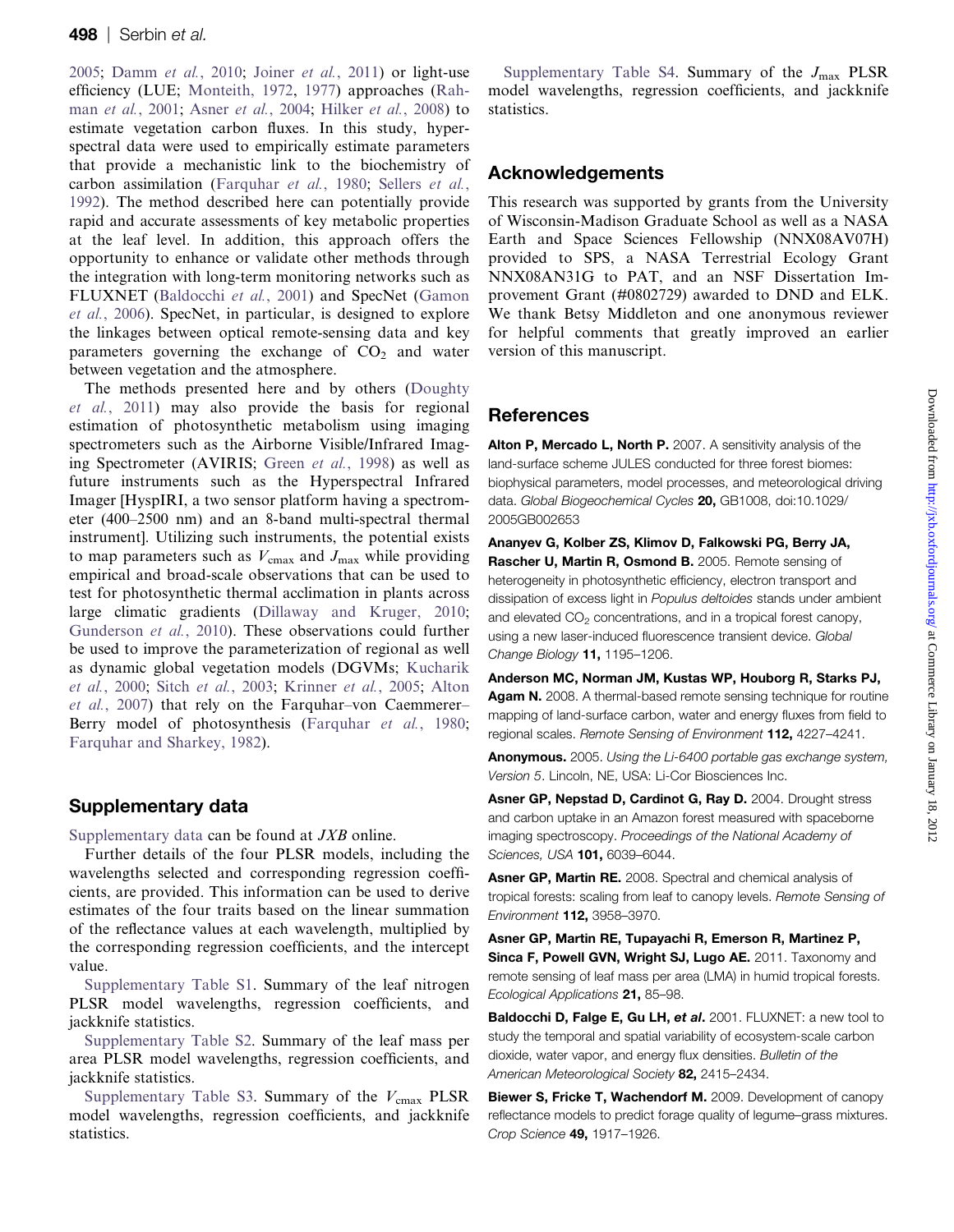<span id="page-9-0"></span>[2005](#page-11-0); [Damm](#page-10-0) et al., 2010; Joiner et al.[, 2011](#page-11-0)) or light-use efficiency (LUE; [Monteith, 1972](#page-12-0), [1977](#page-12-0)) approaches ([Rah-](#page-12-0)man et al.[, 2001](#page-12-0); Asner et al., 2004; [Hilker](#page-11-0) et al., 2008) to estimate vegetation carbon fluxes. In this study, hyperspectral data were used to empirically estimate parameters that provide a mechanistic link to the biochemistry of carbon assimilation ([Farquhar](#page-10-0) et al., 1980; [Sellers](#page-12-0) et al., [1992](#page-12-0)). The method described here can potentially provide rapid and accurate assessments of key metabolic properties at the leaf level. In addition, this approach offers the opportunity to enhance or validate other methods through the integration with long-term monitoring networks such as FLUXNET (Baldocchi et al., 2001) and SpecNet ([Gamon](#page-10-0) et al.[, 2006](#page-10-0)). SpecNet, in particular, is designed to explore the linkages between optical remote-sensing data and key parameters governing the exchange of  $CO<sub>2</sub>$  and water between vegetation and the atmosphere.

The methods presented here and by others [\(Doughty](#page-10-0) et al.[, 2011](#page-10-0)) may also provide the basis for regional estimation of photosynthetic metabolism using imaging spectrometers such as the Airborne Visible/Infrared Imaging Spectrometer (AVIRIS; Green et al.[, 1998\)](#page-11-0) as well as future instruments such as the Hyperspectral Infrared Imager [HyspIRI, a two sensor platform having a spectrometer (400–2500 nm) and an 8-band multi-spectral thermal instrument]. Utilizing such instruments, the potential exists to map parameters such as  $V_{\text{cmax}}$  and  $J_{\text{max}}$  while providing empirical and broad-scale observations that can be used to test for photosynthetic thermal acclimation in plants across large climatic gradients ([Dillaway and Kruger, 2010;](#page-10-0) [Gunderson](#page-11-0) et al., 2010). These observations could further be used to improve the parameterization of regional as well as dynamic global vegetation models (DGVMs; [Kucharik](#page-11-0) et al.[, 2000;](#page-11-0) Sitch et al.[, 2003](#page-12-0); [Krinner](#page-11-0) et al., 2005; Alton et al., 2007) that rely on the Farquhar–von Caemmerer– Berry model of photosynthesis ([Farquhar](#page-10-0) et al., 1980; [Farquhar and Sharkey, 1982\)](#page-10-0).

# Supplementary data

[Supplementary data](http://jxb.oxfordjournals.org/lookup/suppl/doi:10.1093/jxb/err294/-/DC1) can be found at JXB online.

Further details of the four PLSR models, including the wavelengths selected and corresponding regression coefficients, are provided. This information can be used to derive estimates of the four traits based on the linear summation of the reflectance values at each wavelength, multiplied by the corresponding regression coefficients, and the intercept value.

[Supplementary Table S1](http://jxb.oxfordjournals.org/lookup/suppl/doi:10.1093/jxb/err294/-/DC1). Summary of the leaf nitrogen PLSR model wavelengths, regression coefficients, and jackknife statistics.

[Supplementary Table S2](http://jxb.oxfordjournals.org/lookup/suppl/doi:10.1093/jxb/err294/-/DC1). Summary of the leaf mass per area PLSR model wavelengths, regression coefficients, and jackknife statistics.

[Supplementary Table S3.](http://jxb.oxfordjournals.org/lookup/suppl/doi:10.1093/jxb/err294/-/DC1) Summary of the  $V_{\text{cmax}}$  PLSR model wavelengths, regression coefficients, and jackknife statistics.

[Supplementary Table S4](http://jxb.oxfordjournals.org/lookup/suppl/doi:10.1093/jxb/err294/-/DC1). Summary of the  $J_{\text{max}}$  PLSR model wavelengths, regression coefficients, and jackknife statistics.

# Acknowledgements

This research was supported by grants from the University of Wisconsin-Madison Graduate School as well as a NASA Earth and Space Sciences Fellowship (NNX08AV07H) provided to SPS, a NASA Terrestrial Ecology Grant NNX08AN31G to PAT, and an NSF Dissertation Improvement Grant (#0802729) awarded to DND and ELK. We thank Betsy Middleton and one anonymous reviewer for helpful comments that greatly improved an earlier version of this manuscript.

# **References**

Alton P. Mercado L. North P. 2007. A sensitivity analysis of the land-surface scheme JULES conducted for three forest biomes: biophysical parameters, model processes, and meteorological driving data. Global Biogeochemical Cycles 20, GB1008, doi:10.1029/ 2005GB002653

Ananyev G, Kolber ZS, Klimov D, Falkowski PG, Berry JA, Rascher U, Martin R, Osmond B. 2005. Remote sensing of heterogeneity in photosynthetic efficiency, electron transport and dissipation of excess light in Populus deltoides stands under ambient and elevated CO<sub>2</sub> concentrations, and in a tropical forest canopy, using a new laser-induced fluorescence transient device. Global Change Biology 11, 1195-1206.

Anderson MC, Norman JM, Kustas WP, Houborg R, Starks PJ, Agam N. 2008. A thermal-based remote sensing technique for routine mapping of land-surface carbon, water and energy fluxes from field to regional scales. Remote Sensing of Environment 112, 4227–4241.

Anonymous. 2005. Using the Li-6400 portable gas exchange system, Version 5. Lincoln, NE, USA: Li-Cor Biosciences Inc.

Asner GP, Nepstad D, Cardinot G, Ray D. 2004. Drought stress and carbon uptake in an Amazon forest measured with spaceborne imaging spectroscopy. Proceedings of the National Academy of Sciences, USA **101,** 6039-6044.

Asner GP, Martin RE. 2008. Spectral and chemical analysis of tropical forests: scaling from leaf to canopy levels. Remote Sensing of Environment 112, 3958–3970.

Asner GP, Martin RE, Tupayachi R, Emerson R, Martinez P, Sinca F, Powell GVN, Wright SJ, Lugo AE. 2011. Taxonomy and remote sensing of leaf mass per area (LMA) in humid tropical forests. Ecological Applications 21, 85–98.

Baldocchi D, Falge E, Gu LH, et al. 2001. FLUXNET: a new tool to study the temporal and spatial variability of ecosystem-scale carbon dioxide, water vapor, and energy flux densities. Bulletin of the American Meteorological Society 82, 2415-2434.

Biewer S. Fricke T. Wachendorf M. 2009. Development of canopy reflectance models to predict forage quality of legume–grass mixtures. Crop Science 49, 1917–1926.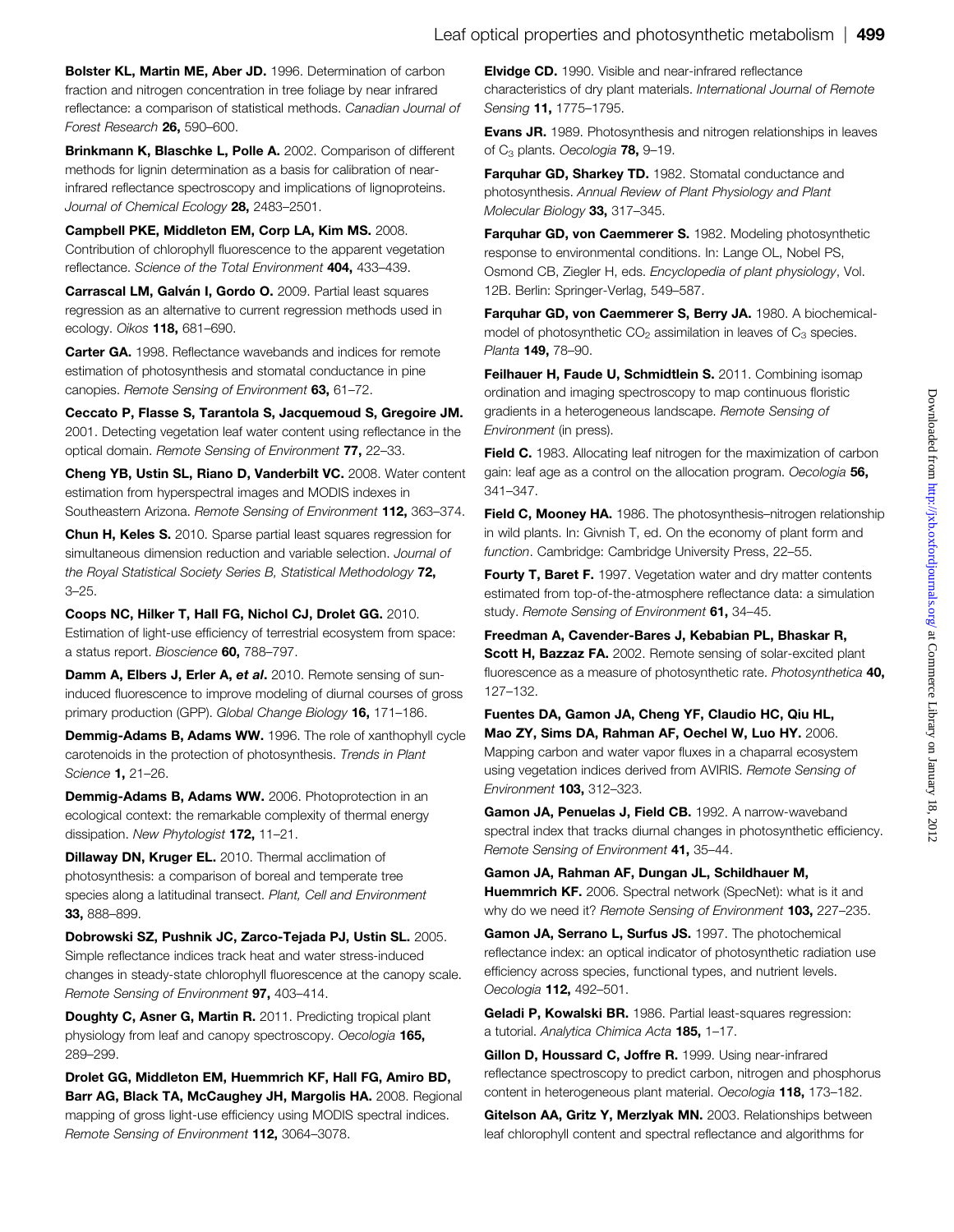<span id="page-10-0"></span>Bolster KL, Martin ME, Aber JD. 1996. Determination of carbon fraction and nitrogen concentration in tree foliage by near infrared reflectance: a comparison of statistical methods. Canadian Journal of Forest Research 26, 590–600.

Brinkmann K, Blaschke L, Polle A. 2002. Comparison of different methods for lignin determination as a basis for calibration of nearinfrared reflectance spectroscopy and implications of lignoproteins. Journal of Chemical Ecology 28, 2483-2501.

Campbell PKE, Middleton EM, Corp LA, Kim MS. 2008. Contribution of chlorophyll fluorescence to the apparent vegetation reflectance. Science of the Total Environment 404. 433-439.

Carrascal LM. Galván I. Gordo O. 2009. Partial least squares regression as an alternative to current regression methods used in ecology. Oikos 118, 681–690.

Carter GA. 1998. Reflectance wavebands and indices for remote estimation of photosynthesis and stomatal conductance in pine canopies. Remote Sensing of Environment 63, 61-72.

Ceccato P, Flasse S, Tarantola S, Jacquemoud S, Gregoire JM. 2001. Detecting vegetation leaf water content using reflectance in the optical domain. Remote Sensing of Environment 77, 22–33.

Cheng YB, Ustin SL, Riano D, Vanderbilt VC. 2008. Water content estimation from hyperspectral images and MODIS indexes in Southeastern Arizona. Remote Sensing of Environment 112, 363–374.

Chun H, Keles S. 2010. Sparse partial least squares regression for simultaneous dimension reduction and variable selection. Journal of the Royal Statistical Society Series B, Statistical Methodology 72, 3–25.

Coops NC, Hilker T, Hall FG, Nichol CJ, Drolet GG. 2010. Estimation of light-use efficiency of terrestrial ecosystem from space: a status report. Bioscience 60, 788–797.

Damm A, Elbers J, Erler A, et al. 2010. Remote sensing of suninduced fluorescence to improve modeling of diurnal courses of gross primary production (GPP). Global Change Biology 16, 171-186.

Demmig-Adams B, Adams WW. 1996. The role of xanthophyll cycle carotenoids in the protection of photosynthesis. Trends in Plant Science 1, 21–26.

Demmig-Adams B, Adams WW. 2006. Photoprotection in an ecological context: the remarkable complexity of thermal energy dissipation. New Phytologist 172, 11-21.

Dillaway DN, Kruger EL. 2010. Thermal acclimation of photosynthesis: a comparison of boreal and temperate tree species along a latitudinal transect. Plant, Cell and Environment 33, 888–899.

Dobrowski SZ, Pushnik JC, Zarco-Tejada PJ, Ustin SL. 2005. Simple reflectance indices track heat and water stress-induced changes in steady-state chlorophyll fluorescence at the canopy scale. Remote Sensing of Environment 97, 403-414.

Doughty C, Asner G, Martin R. 2011. Predicting tropical plant physiology from leaf and canopy spectroscopy. Oecologia 165, 289–299.

Drolet GG, Middleton EM, Huemmrich KF, Hall FG, Amiro BD, Barr AG, Black TA, McCaughey JH, Margolis HA. 2008. Regional mapping of gross light-use efficiency using MODIS spectral indices. Remote Sensing of Environment 112, 3064–3078.

Elvidge CD. 1990. Visible and near-infrared reflectance characteristics of dry plant materials. International Journal of Remote Sensing 11, 1775–1795.

Evans JR. 1989. Photosynthesis and nitrogen relationships in leaves of C<sub>3</sub> plants. Oecologia 78, 9-19.

Farquhar GD, Sharkey TD. 1982. Stomatal conductance and photosynthesis. Annual Review of Plant Physiology and Plant Molecular Biology 33, 317-345.

Farquhar GD, von Caemmerer S. 1982. Modeling photosynthetic response to environmental conditions. In: Lange OL, Nobel PS, Osmond CB, Ziegler H, eds. Encyclopedia of plant physiology, Vol. 12B. Berlin: Springer-Verlag, 549–587.

Farquhar GD, von Caemmerer S, Berry JA. 1980. A biochemicalmodel of photosynthetic  $CO<sub>2</sub>$  assimilation in leaves of  $C<sub>3</sub>$  species. Planta **149, 78-90.** 

Feilhauer H, Faude U, Schmidtlein S. 2011. Combining isomap ordination and imaging spectroscopy to map continuous floristic gradients in a heterogeneous landscape. Remote Sensing of Environment (in press).

Field C. 1983. Allocating leaf nitrogen for the maximization of carbon gain: leaf age as a control on the allocation program. Oecologia 56, 341–347.

Field C, Mooney HA. 1986. The photosynthesis-nitrogen relationship in wild plants. In: Givnish T, ed. On the economy of plant form and function. Cambridge: Cambridge University Press, 22–55.

Fourty T, Baret F. 1997. Vegetation water and dry matter contents estimated from top-of-the-atmosphere reflectance data: a simulation study. Remote Sensing of Environment 61, 34-45.

Freedman A, Cavender-Bares J, Kebabian PL, Bhaskar R, Scott H, Bazzaz FA. 2002. Remote sensing of solar-excited plant fluorescence as a measure of photosynthetic rate. Photosynthetica 40, 127–132.

Fuentes DA, Gamon JA, Cheng YF, Claudio HC, Qiu HL, Mao ZY, Sims DA, Rahman AF, Oechel W, Luo HY. 2006. Mapping carbon and water vapor fluxes in a chaparral ecosystem using vegetation indices derived from AVIRIS. Remote Sensing of Environment 103, 312–323.

Gamon JA, Penuelas J, Field CB. 1992. A narrow-waveband spectral index that tracks diurnal changes in photosynthetic efficiency. Remote Sensing of Environment 41, 35–44.

Gamon JA, Rahman AF, Dungan JL, Schildhauer M, Huemmrich KF. 2006. Spectral network (SpecNet): what is it and why do we need it? Remote Sensing of Environment 103, 227-235.

Gamon JA, Serrano L, Surfus JS. 1997. The photochemical reflectance index: an optical indicator of photosynthetic radiation use efficiency across species, functional types, and nutrient levels. Oecologia 112, 492–501.

Geladi P, Kowalski BR. 1986. Partial least-squares regression: a tutorial. Analytica Chimica Acta 185, 1–17.

Gillon D, Houssard C, Joffre R. 1999. Using near-infrared reflectance spectroscopy to predict carbon, nitrogen and phosphorus content in heterogeneous plant material. Oecologia 118, 173-182.

Gitelson AA, Gritz Y, Merzlyak MN, 2003. Relationships between leaf chlorophyll content and spectral reflectance and algorithms for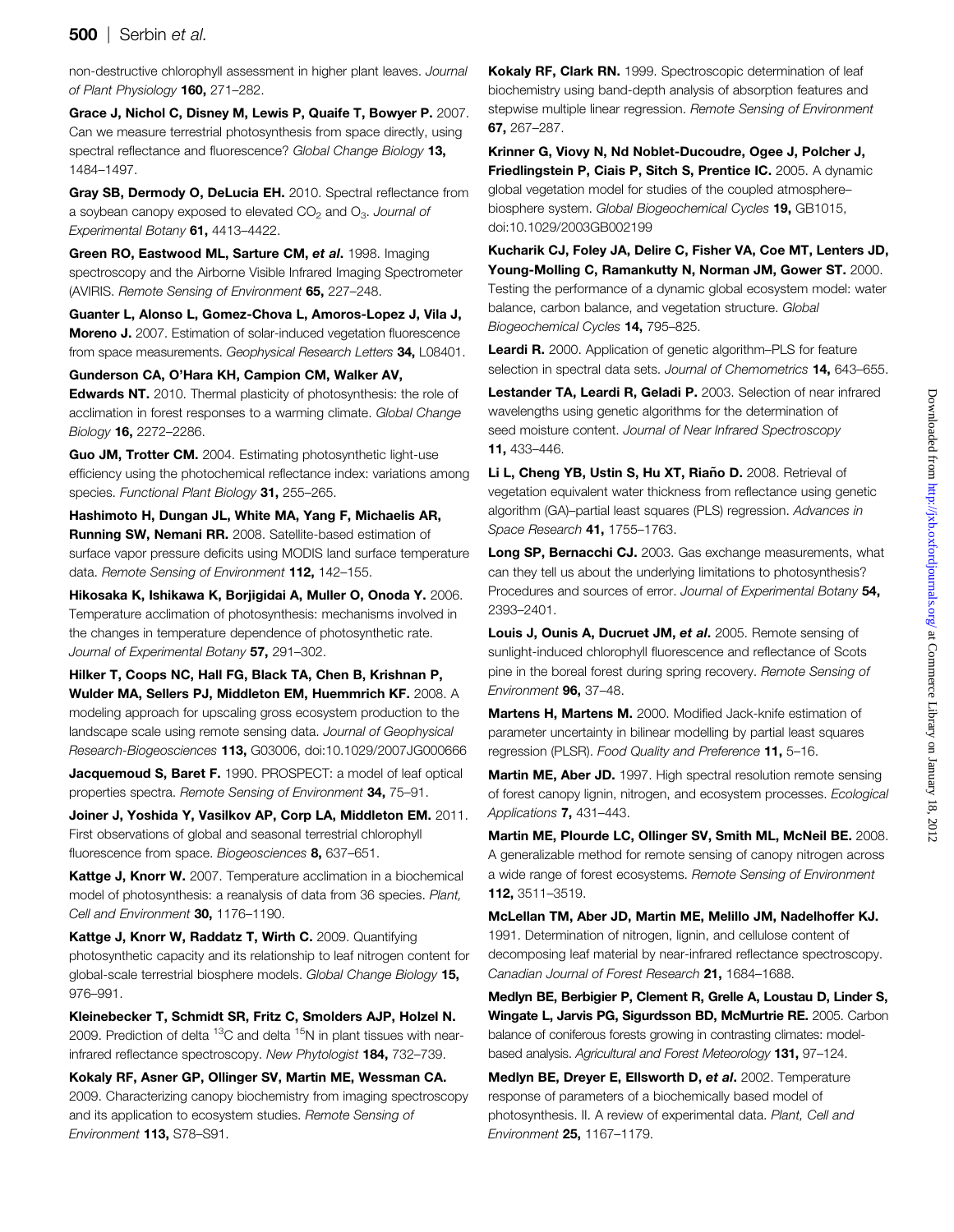# <span id="page-11-0"></span>**500** | Serbin et al.

non-destructive chlorophyll assessment in higher plant leaves. Journal of Plant Physiology 160, 271-282.

Grace J, Nichol C, Disney M, Lewis P, Quaife T, Bowyer P. 2007. Can we measure terrestrial photosynthesis from space directly, using spectral reflectance and fluorescence? Global Change Biology 13, 1484–1497.

Gray SB, Dermody O, DeLucia EH. 2010. Spectral reflectance from a soybean canopy exposed to elevated  $CO<sub>2</sub>$  and  $O<sub>3</sub>$ . Journal of Experimental Botany 61, 4413–4422.

Green RO, Eastwood ML, Sarture CM, et al. 1998. Imaging spectroscopy and the Airborne Visible Infrared Imaging Spectrometer (AVIRIS. Remote Sensing of Environment 65, 227–248.

Guanter L, Alonso L, Gomez-Chova L, Amoros-Lopez J, Vila J, Moreno J. 2007. Estimation of solar-induced vegetation fluorescence from space measurements. Geophysical Research Letters 34, L08401.

Gunderson CA, O'Hara KH, Campion CM, Walker AV,

**Edwards NT.** 2010. Thermal plasticity of photosynthesis: the role of acclimation in forest responses to a warming climate. Global Change Biology 16, 2272–2286.

Guo JM, Trotter CM. 2004. Estimating photosynthetic light-use efficiency using the photochemical reflectance index: variations among species. Functional Plant Biology 31, 255-265.

Hashimoto H, Dungan JL, White MA, Yang F, Michaelis AR, Running SW, Nemani RR. 2008. Satellite-based estimation of surface vapor pressure deficits using MODIS land surface temperature data. Remote Sensing of Environment 112, 142-155.

Hikosaka K, Ishikawa K, Borjigidai A, Muller O, Onoda Y. 2006. Temperature acclimation of photosynthesis: mechanisms involved in the changes in temperature dependence of photosynthetic rate. Journal of Experimental Botany 57, 291-302.

Hilker T, Coops NC, Hall FG, Black TA, Chen B, Krishnan P, Wulder MA, Sellers PJ, Middleton EM, Huemmrich KF. 2008. A modeling approach for upscaling gross ecosystem production to the landscape scale using remote sensing data. Journal of Geophysical Research-Biogeosciences 113, G03006, doi:10.1029/2007JG000666

Jacquemoud S, Baret F. 1990. PROSPECT: a model of leaf optical properties spectra. Remote Sensing of Environment 34, 75-91.

Joiner J, Yoshida Y, Vasilkov AP, Corp LA, Middleton EM. 2011. First observations of global and seasonal terrestrial chlorophyll fluorescence from space. Biogeosciences 8, 637-651.

Kattge J, Knorr W. 2007. Temperature acclimation in a biochemical model of photosynthesis: a reanalysis of data from 36 species. Plant, Cell and Environment 30, 1176-1190.

Kattge J, Knorr W, Raddatz T, Wirth C. 2009. Quantifying photosynthetic capacity and its relationship to leaf nitrogen content for global-scale terrestrial biosphere models. Global Change Biology 15, 976–991.

Kleinebecker T, Schmidt SR, Fritz C, Smolders AJP, Holzel N. 2009. Prediction of delta  ${}^{13}$ C and delta  ${}^{15}$ N in plant tissues with nearinfrared reflectance spectroscopy. New Phytologist 184, 732–739.

Kokaly RF, Asner GP, Ollinger SV, Martin ME, Wessman CA. 2009. Characterizing canopy biochemistry from imaging spectroscopy and its application to ecosystem studies. Remote Sensing of Environment 113, S78–S91.

Kokaly RF, Clark RN. 1999. Spectroscopic determination of leaf biochemistry using band-depth analysis of absorption features and stepwise multiple linear regression. Remote Sensing of Environment 67, 267–287.

Krinner G, Viovy N, Nd Noblet-Ducoudre, Ogee J, Polcher J, Friedlingstein P, Ciais P, Sitch S, Prentice IC. 2005. A dynamic global vegetation model for studies of the coupled atmosphere– biosphere system. Global Biogeochemical Cycles 19, GB1015, doi:10.1029/2003GB002199

Kucharik CJ, Foley JA, Delire C, Fisher VA, Coe MT, Lenters JD, Young-Molling C, Ramankutty N, Norman JM, Gower ST. 2000. Testing the performance of a dynamic global ecosystem model: water balance, carbon balance, and vegetation structure. Global Biogeochemical Cycles 14, 795–825.

Leardi R. 2000. Application of genetic algorithm–PLS for feature selection in spectral data sets. Journal of Chemometrics 14, 643-655.

Lestander TA, Leardi R, Geladi P. 2003. Selection of near infrared wavelengths using genetic algorithms for the determination of seed moisture content. Journal of Near Infrared Spectroscopy 11, 433–446.

Li L, Cheng YB, Ustin S, Hu XT, Riaño D. 2008. Retrieval of vegetation equivalent water thickness from reflectance using genetic algorithm (GA)–partial least squares (PLS) regression. Advances in Space Research **41,** 1755-1763.

Long SP, Bernacchi CJ. 2003. Gas exchange measurements, what can they tell us about the underlying limitations to photosynthesis? Procedures and sources of error. Journal of Experimental Botany 54, 2393–2401.

Louis J. Ounis A. Ducruet JM. et al. 2005. Remote sensing of sunlight-induced chlorophyll fluorescence and reflectance of Scots pine in the boreal forest during spring recovery. Remote Sensing of Environment 96, 37–48.

Martens H, Martens M. 2000. Modified Jack-knife estimation of parameter uncertainty in bilinear modelling by partial least squares regression (PLSR). Food Quality and Preference 11, 5-16.

Martin ME, Aber JD. 1997. High spectral resolution remote sensing of forest canopy lignin, nitrogen, and ecosystem processes. Ecological Applications 7, 431–443.

Martin ME, Plourde LC, Ollinger SV, Smith ML, McNeil BE. 2008. A generalizable method for remote sensing of canopy nitrogen across a wide range of forest ecosystems. Remote Sensing of Environment 112, 3511–3519.

McLellan TM, Aber JD, Martin ME, Melillo JM, Nadelhoffer KJ. 1991. Determination of nitrogen, lignin, and cellulose content of decomposing leaf material by near-infrared reflectance spectroscopy. Canadian Journal of Forest Research 21, 1684–1688.

Medlyn BE, Berbigier P, Clement R, Grelle A, Loustau D, Linder S, Wingate L, Jarvis PG, Sigurdsson BD, McMurtrie RE. 2005. Carbon balance of coniferous forests growing in contrasting climates: modelbased analysis. Agricultural and Forest Meteorology 131, 97-124.

Medlyn BE, Dreyer E, Ellsworth D, et al. 2002. Temperature response of parameters of a biochemically based model of photosynthesis. II. A review of experimental data. Plant, Cell and Environment 25, 1167–1179.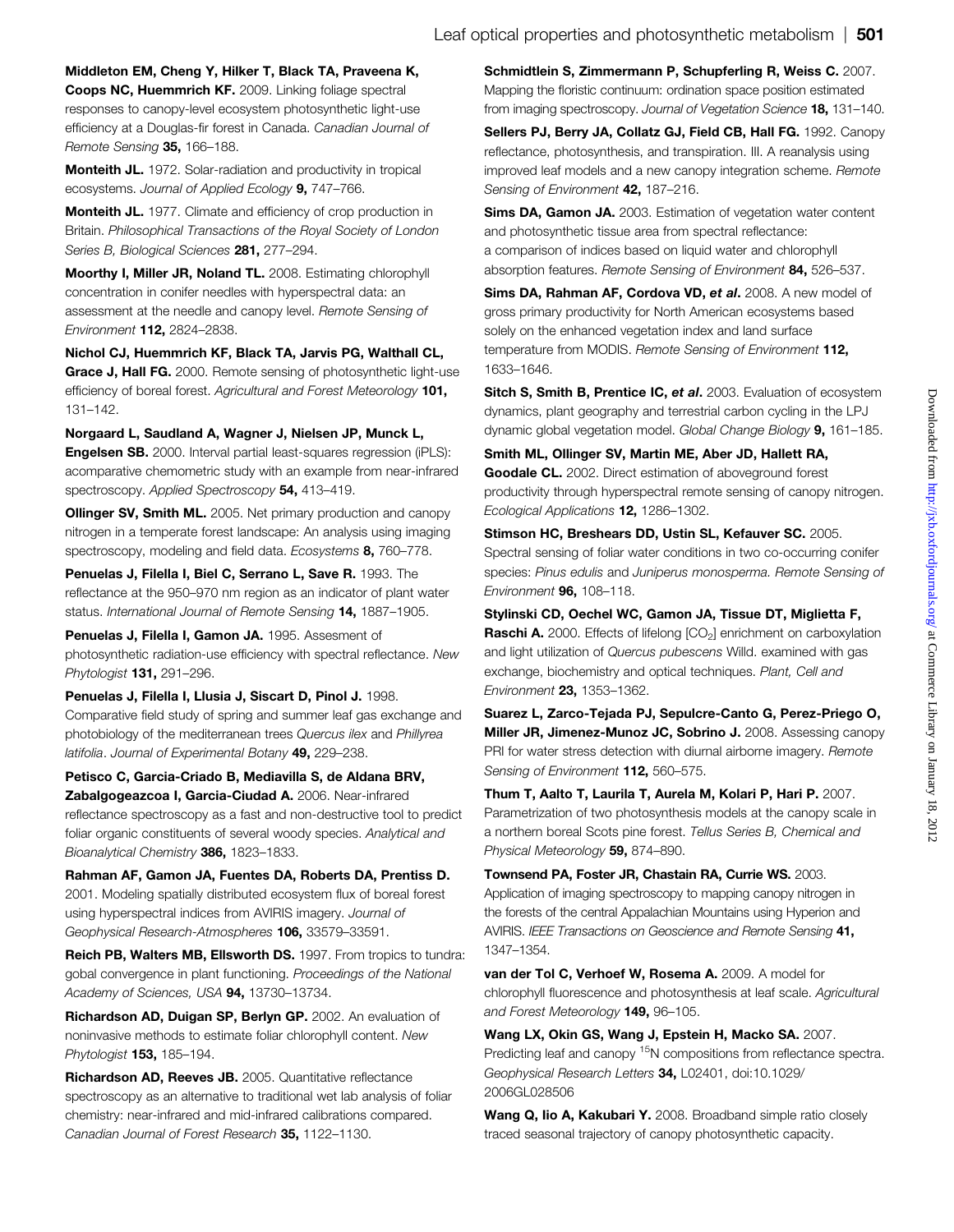<span id="page-12-0"></span>Middleton EM, Cheng Y, Hilker T, Black TA, Praveena K, Coops NC, Huemmrich KF. 2009. Linking foliage spectral responses to canopy-level ecosystem photosynthetic light-use efficiency at a Douglas-fir forest in Canada. Canadian Journal of Remote Sensing 35, 166-188.

Monteith JL. 1972. Solar-radiation and productivity in tropical ecosystems. Journal of Applied Ecology 9, 747-766.

Monteith JL. 1977. Climate and efficiency of crop production in Britain. Philosophical Transactions of the Royal Society of London Series B, Biological Sciences 281, 277-294.

Moorthy I, Miller JR, Noland TL. 2008. Estimating chlorophyll concentration in conifer needles with hyperspectral data: an assessment at the needle and canopy level. Remote Sensing of Environment 112, 2824–2838.

Nichol CJ, Huemmrich KF, Black TA, Jarvis PG, Walthall CL, Grace J, Hall FG. 2000. Remote sensing of photosynthetic light-use efficiency of boreal forest. Agricultural and Forest Meteorology 101, 131–142.

Norgaard L, Saudland A, Wagner J, Nielsen JP, Munck L, Engelsen SB. 2000. Interval partial least-squares regression (iPLS): acomparative chemometric study with an example from near-infrared spectroscopy. Applied Spectroscopy 54, 413-419.

**Ollinger SV, Smith ML.** 2005. Net primary production and canopy nitrogen in a temperate forest landscape: An analysis using imaging spectroscopy, modeling and field data. Ecosystems 8, 760-778.

Penuelas J, Filella I, Biel C, Serrano L, Save R. 1993. The reflectance at the 950–970 nm region as an indicator of plant water status. International Journal of Remote Sensing 14, 1887-1905.

Penuelas J, Filella I, Gamon JA. 1995. Assesment of photosynthetic radiation-use efficiency with spectral reflectance. New Phytologist 131, 291–296.

Penuelas J, Filella I, Llusia J, Siscart D, Pinol J. 1998. Comparative field study of spring and summer leaf gas exchange and photobiology of the mediterranean trees Quercus ilex and Phillyrea latifolia. Journal of Experimental Botany 49, 229-238.

Petisco C, Garcia-Criado B, Mediavilla S, de Aldana BRV, Zabalgogeazcoa I, Garcia-Ciudad A. 2006. Near-infrared reflectance spectroscopy as a fast and non-destructive tool to predict foliar organic constituents of several woody species. Analytical and Bioanalytical Chemistry 386, 1823-1833.

Rahman AF, Gamon JA, Fuentes DA, Roberts DA, Prentiss D. 2001. Modeling spatially distributed ecosystem flux of boreal forest using hyperspectral indices from AVIRIS imagery. Journal of Geophysical Research-Atmospheres 106, 33579–33591.

Reich PB, Walters MB, Ellsworth DS. 1997. From tropics to tundra: gobal convergence in plant functioning. Proceedings of the National Academy of Sciences, USA 94, 13730-13734.

Richardson AD, Duigan SP, Berlyn GP. 2002. An evaluation of noninvasive methods to estimate foliar chlorophyll content. New Phytologist **153,** 185-194.

Richardson AD, Reeves JB. 2005. Quantitative reflectance spectroscopy as an alternative to traditional wet lab analysis of foliar chemistry: near-infrared and mid-infrared calibrations compared. Canadian Journal of Forest Research 35. 1122-1130.

Schmidtlein S, Zimmermann P, Schupferling R, Weiss C. 2007. Mapping the floristic continuum: ordination space position estimated from imaging spectroscopy. Journal of Vegetation Science 18, 131-140.

Sellers PJ, Berry JA, Collatz GJ, Field CB, Hall FG, 1992. Canopy reflectance, photosynthesis, and transpiration. III. A reanalysis using improved leaf models and a new canopy integration scheme. Remote Sensing of Environment 42, 187-216.

Sims DA, Gamon JA. 2003. Estimation of vegetation water content and photosynthetic tissue area from spectral reflectance: a comparison of indices based on liquid water and chlorophyll absorption features. Remote Sensing of Environment 84, 526-537.

Sims DA, Rahman AF, Cordova VD, et al. 2008. A new model of gross primary productivity for North American ecosystems based solely on the enhanced vegetation index and land surface temperature from MODIS. Remote Sensing of Environment 112, 1633–1646.

Sitch S, Smith B, Prentice IC, et al. 2003. Evaluation of ecosystem dynamics, plant geography and terrestrial carbon cycling in the LPJ dynamic global vegetation model. Global Change Biology 9, 161–185.

Smith ML, Ollinger SV, Martin ME, Aber JD, Hallett RA, Goodale CL. 2002. Direct estimation of aboveground forest productivity through hyperspectral remote sensing of canopy nitrogen. Ecological Applications 12, 1286–1302.

Stimson HC, Breshears DD, Ustin SL, Kefauver SC. 2005. Spectral sensing of foliar water conditions in two co-occurring conifer species: Pinus edulis and Juniperus monosperma. Remote Sensing of Environment 96, 108–118.

Stylinski CD, Oechel WC, Gamon JA, Tissue DT, Miglietta F, **Raschi A.** 2000. Effects of lifelong [CO<sub>2</sub>] enrichment on carboxylation and light utilization of Quercus pubescens Willd. examined with gas exchange, biochemistry and optical techniques. Plant, Cell and Environment 23, 1353–1362.

Suarez L, Zarco-Tejada PJ, Sepulcre-Canto G, Perez-Priego O, Miller JR, Jimenez-Munoz JC, Sobrino J. 2008. Assessing canopy PRI for water stress detection with diurnal airborne imagery. Remote Sensing of Environment 112, 560-575.

Thum T, Aalto T, Laurila T, Aurela M, Kolari P, Hari P. 2007. Parametrization of two photosynthesis models at the canopy scale in a northern boreal Scots pine forest. Tellus Series B, Chemical and Physical Meteorology 59, 874-890.

Townsend PA, Foster JR, Chastain RA, Currie WS. 2003. Application of imaging spectroscopy to mapping canopy nitrogen in the forests of the central Appalachian Mountains using Hyperion and AVIRIS. IEEE Transactions on Geoscience and Remote Sensing 41, 1347–1354.

van der Tol C, Verhoef W, Rosema A. 2009. A model for chlorophyll fluorescence and photosynthesis at leaf scale. Agricultural and Forest Meteorology 149, 96-105.

Wang LX, Okin GS, Wang J, Epstein H, Macko SA. 2007. Predicting leaf and canopy <sup>15</sup>N compositions from reflectance spectra. Geophysical Research Letters 34, L02401, doi:10.1029/ 2006GL028506

Wang Q, lio A, Kakubari Y. 2008. Broadband simple ratio closely traced seasonal trajectory of canopy photosynthetic capacity.